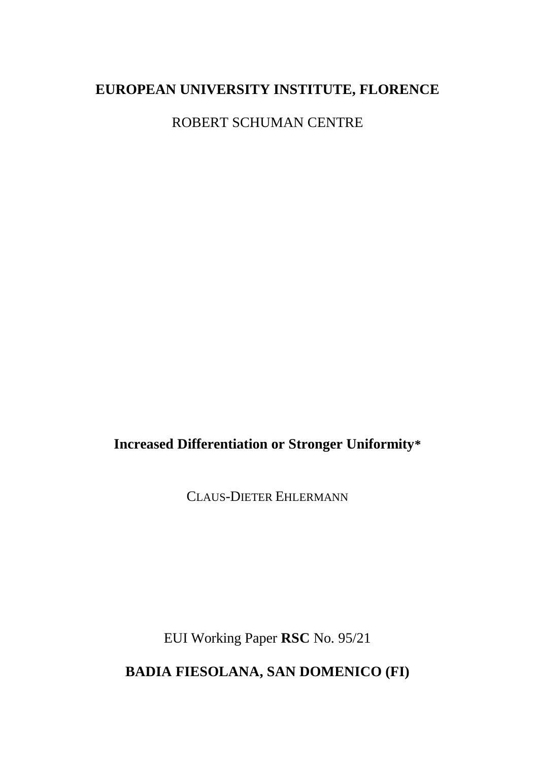# **EUROPEAN UNIVERSITY INSTITUTE, FLORENCE**

ROBERT SCHUMAN CENTRE

**Increased Differentiation or Stronger Uniformity\***

CLAUS-DIETER EHLERMANN

EUI Working Paper **RSC** No. 95/21

**BADIA FIESOLANA, SAN DOMENICO (FI)**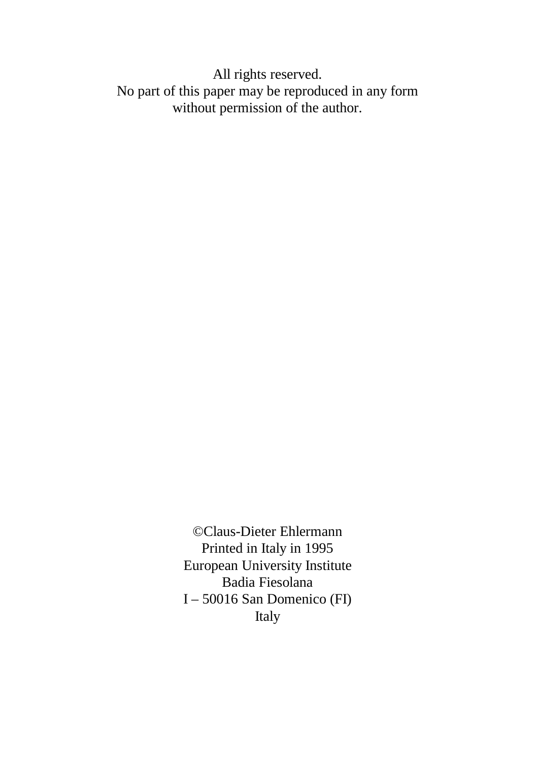All rights reserved. No part of this paper may be reproduced in any form without permission of the author.

> ©Claus-Dieter Ehlermann Printed in Italy in 1995 European University Institute Badia Fiesolana I – 50016 San Domenico (FI) Italy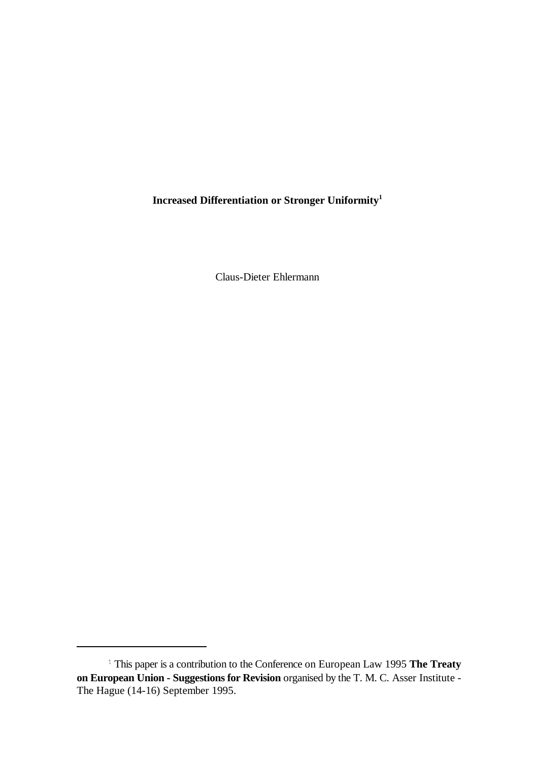**Increased Differentiation or Stronger Uniformity1**

Claus-Dieter Ehlermann

<sup>&</sup>lt;sup>1</sup> This paper is a contribution to the Conference on European Law 1995 **The Treaty on European Union - Suggestions for Revision** organised by the T. M. C. Asser Institute - The Hague (14-16) September 1995.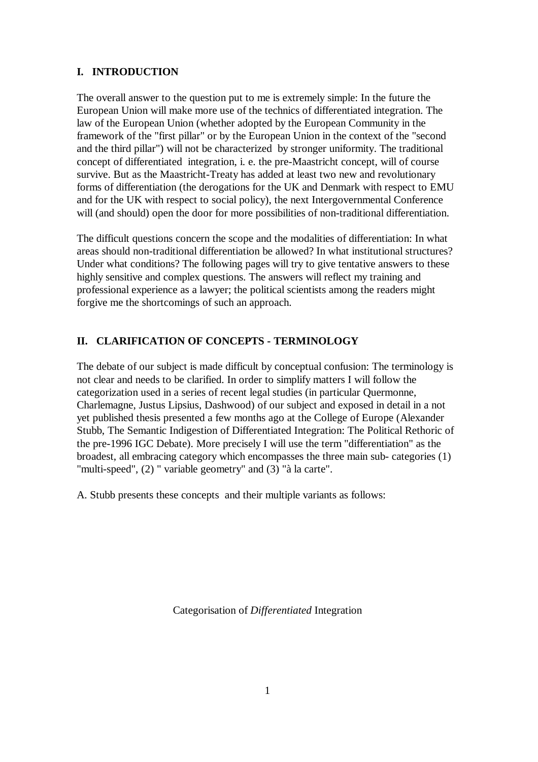#### **I. INTRODUCTION**

The overall answer to the question put to me is extremely simple: In the future the European Union will make more use of the technics of differentiated integration. The law of the European Union (whether adopted by the European Community in the framework of the "first pillar" or by the European Union in the context of the "second and the third pillar") will not be characterized by stronger uniformity. The traditional concept of differentiated integration, i. e. the pre-Maastricht concept, will of course survive. But as the Maastricht-Treaty has added at least two new and revolutionary forms of differentiation (the derogations for the UK and Denmark with respect to EMU and for the UK with respect to social policy), the next Intergovernmental Conference will (and should) open the door for more possibilities of non-traditional differentiation.

The difficult questions concern the scope and the modalities of differentiation: In what areas should non-traditional differentiation be allowed? In what institutional structures? Under what conditions? The following pages will try to give tentative answers to these highly sensitive and complex questions. The answers will reflect my training and professional experience as a lawyer; the political scientists among the readers might forgive me the shortcomings of such an approach.

#### **II. CLARIFICATION OF CONCEPTS - TERMINOLOGY**

The debate of our subject is made difficult by conceptual confusion: The terminology is not clear and needs to be clarified. In order to simplify matters I will follow the categorization used in a series of recent legal studies (in particular Quermonne, Charlemagne, Justus Lipsius, Dashwood) of our subject and exposed in detail in a not yet published thesis presented a few months ago at the College of Europe (Alexander Stubb, The Semantic Indigestion of Differentiated Integration: The Political Rethoric of the pre-1996 IGC Debate). More precisely I will use the term "differentiation" as the broadest, all embracing category which encompasses the three main sub- categories (1) "multi-speed", (2) " variable geometry" and (3) "à la carte".

A. Stubb presents these concepts and their multiple variants as follows:

Categorisation of *Differentiated* Integration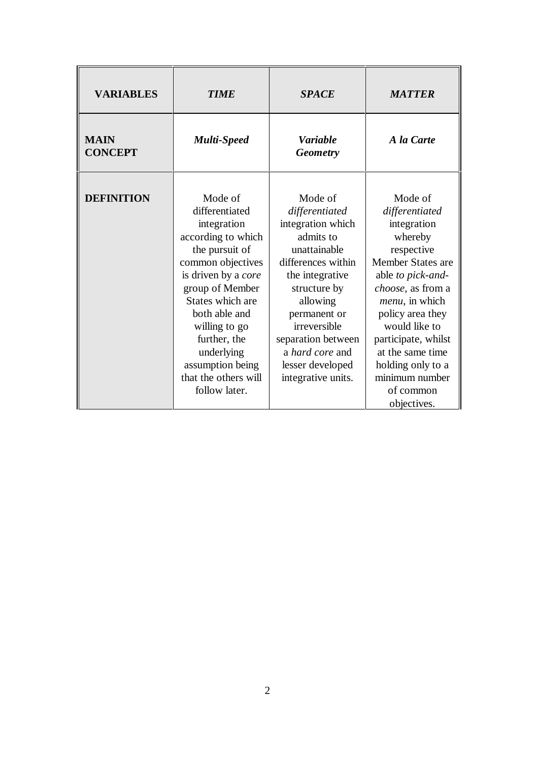| <b>VARIABLES</b>              | <b>TIME</b>                                                                                                                                                                                                                                                                     | <b>SPACE</b>                                                                                                                                                                                                                                                        | <b>MATTER</b>                                                                                                                                                                                                                                                                     |
|-------------------------------|---------------------------------------------------------------------------------------------------------------------------------------------------------------------------------------------------------------------------------------------------------------------------------|---------------------------------------------------------------------------------------------------------------------------------------------------------------------------------------------------------------------------------------------------------------------|-----------------------------------------------------------------------------------------------------------------------------------------------------------------------------------------------------------------------------------------------------------------------------------|
| <b>MAIN</b><br><b>CONCEPT</b> | <b>Multi-Speed</b>                                                                                                                                                                                                                                                              | <b>Variable</b><br><b>Geometry</b>                                                                                                                                                                                                                                  | A la Carte                                                                                                                                                                                                                                                                        |
| <b>DEFINITION</b>             | Mode of<br>differentiated<br>integration<br>according to which<br>the pursuit of<br>common objectives<br>is driven by a core<br>group of Member<br>States which are<br>both able and<br>willing to go<br>further, the<br>underlying<br>assumption being<br>that the others will | Mode of<br>differentiated<br>integration which<br>admits to<br>unattainable<br>differences within<br>the integrative<br>structure by<br>allowing<br>permanent or<br>irreversible<br>separation between<br>a hard core and<br>lesser developed<br>integrative units. | Mode of<br>differentiated<br>integration<br>whereby<br>respective<br>Member States are<br>able to pick-and-<br>choose, as from a<br><i>menu</i> , in which<br>policy area they<br>would like to<br>participate, whilst<br>at the same time<br>holding only to a<br>minimum number |
|                               | follow later.                                                                                                                                                                                                                                                                   |                                                                                                                                                                                                                                                                     | of common<br>objectives.                                                                                                                                                                                                                                                          |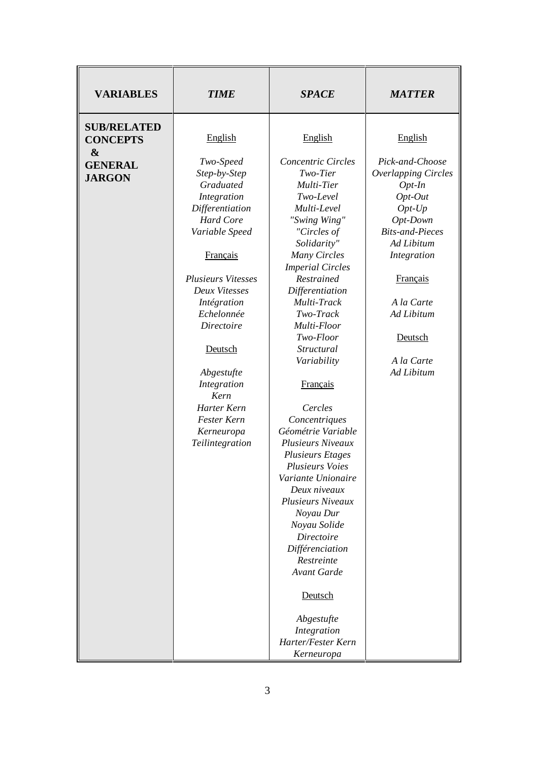| <b>VARIABLES</b>                                     | <b>TIME</b>                                                              | <b>SPACE</b>                                                                  | <b>MATTER</b>                                                                          |
|------------------------------------------------------|--------------------------------------------------------------------------|-------------------------------------------------------------------------------|----------------------------------------------------------------------------------------|
| <b>SUB/RELATED</b><br><b>CONCEPTS</b>                | English                                                                  | English                                                                       | English                                                                                |
| $\boldsymbol{\&}$<br><b>GENERAL</b><br><b>JARGON</b> | Two-Speed<br>Step-by-Step<br>Graduated<br>Integration<br>Differentiation | Concentric Circles<br>Two-Tier<br>Multi-Tier<br>Two-Level<br>Multi-Level      | Pick-and-Choose<br><b>Overlapping Circles</b><br>$Opt-In$<br>$Opt-Out$<br>$Opt$ - $Up$ |
|                                                      | <b>Hard Core</b><br>Variable Speed                                       | "Swing Wing"<br>"Circles of<br>Solidarity"                                    | Opt-Down<br><b>Bits-and-Pieces</b><br>Ad Libitum                                       |
|                                                      | <b>Français</b><br><b>Plusieurs Vitesses</b>                             | Many Circles<br><b>Imperial Circles</b><br>Restrained                         | Integration<br><b>Français</b>                                                         |
|                                                      | Deux Vitesses<br>Intégration<br>Echelonnée                               | Differentiation<br>Multi-Track<br>Two-Track                                   | A la Carte<br>Ad Libitum                                                               |
|                                                      | <b>Directoire</b><br>Deutsch                                             | Multi-Floor<br>Two-Floor<br>Structural                                        | Deutsch                                                                                |
|                                                      | Abgestufte<br>Integration                                                | Variability<br>Français                                                       | A la Carte<br>Ad Libitum                                                               |
|                                                      | Kern<br>Harter Kern<br>Fester Kern<br>Kerneuropa                         | Cercles<br>Concentriques<br>Géométrie Variable                                |                                                                                        |
|                                                      | Teilintegration                                                          | <b>Plusieurs Niveaux</b><br><b>Plusieurs Etages</b><br><b>Plusieurs Voies</b> |                                                                                        |
|                                                      |                                                                          | Variante Unionaire<br>Deux niveaux<br><b>Plusieurs Niveaux</b><br>Noyau Dur   |                                                                                        |
|                                                      |                                                                          | Noyau Solide<br>Directoire<br>Différenciation                                 |                                                                                        |
|                                                      |                                                                          | Restreinte<br><b>Avant Garde</b>                                              |                                                                                        |
|                                                      |                                                                          | Deutsch<br>Abgestufte                                                         |                                                                                        |
|                                                      |                                                                          | Integration<br>Harter/Fester Kern<br>Kerneuropa                               |                                                                                        |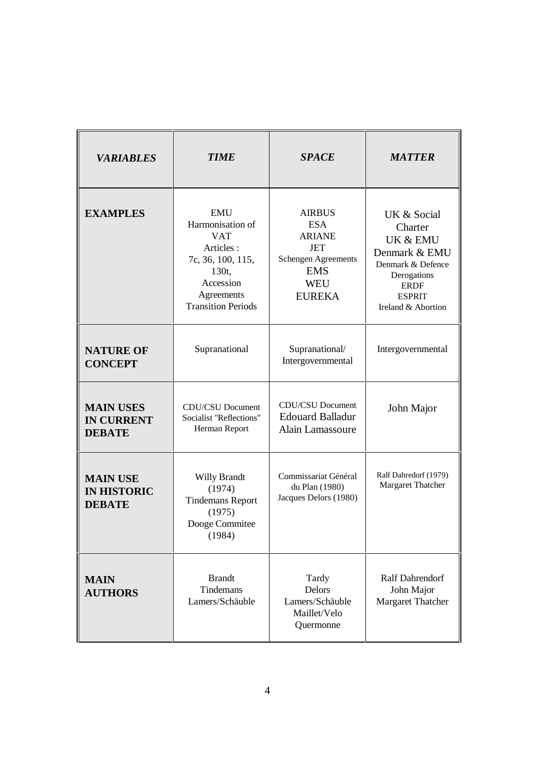| <b>VARIABLES</b>                                       | <b>TIME</b>                                                                                                                                     | <b>SPACE</b>                                                                                                                          | <b>MATTER</b>                                                                                                                                 |
|--------------------------------------------------------|-------------------------------------------------------------------------------------------------------------------------------------------------|---------------------------------------------------------------------------------------------------------------------------------------|-----------------------------------------------------------------------------------------------------------------------------------------------|
| <b>EXAMPLES</b>                                        | <b>EMU</b><br>Harmonisation of<br><b>VAT</b><br>Articles:<br>7c, 36, 100, 115,<br>130t,<br>Accession<br>Agreements<br><b>Transition Periods</b> | <b>AIRBUS</b><br><b>ESA</b><br><b>ARIANE</b><br><b>JET</b><br><b>Schengen Agreements</b><br><b>EMS</b><br><b>WEU</b><br><b>EUREKA</b> | UK & Social<br>Charter<br>UK & EMU<br>Denmark & EMU<br>Denmark & Defence<br>Derogations<br><b>ERDF</b><br><b>ESPRIT</b><br>Ireland & Abortion |
| <b>NATURE OF</b><br><b>CONCEPT</b>                     | Supranational                                                                                                                                   | Supranational/<br>Intergovernmental                                                                                                   | Intergovernmental                                                                                                                             |
| <b>MAIN USES</b><br><b>IN CURRENT</b><br><b>DEBATE</b> | CDU/CSU Document<br>Socialist "Reflections"<br>Herman Report                                                                                    | <b>CDU/CSU Document</b><br><b>Edouard Balladur</b><br>Alain Lamassoure                                                                | John Major                                                                                                                                    |
| <b>MAIN USE</b><br><b>IN HISTORIC</b><br><b>DEBATE</b> | <b>Willy Brandt</b><br>(1974)<br><b>Tindemans Report</b><br>(1975)<br>Dooge Commitee<br>(1984)                                                  | Commissariat Général<br>du Plan (1980)<br>Jacques Delors (1980)                                                                       | Ralf Dahredorf (1979)<br>Margaret Thatcher                                                                                                    |
| <b>MAIN</b><br><b>AUTHORS</b>                          | <b>Brandt</b><br>Tindemans<br>Lamers/Schäuble                                                                                                   | Tardy<br>Delors<br>Lamers/Schäuble<br>Maillet/Velo<br>Quermonne                                                                       | Ralf Dahrendorf<br>John Major<br>Margaret Thatcher                                                                                            |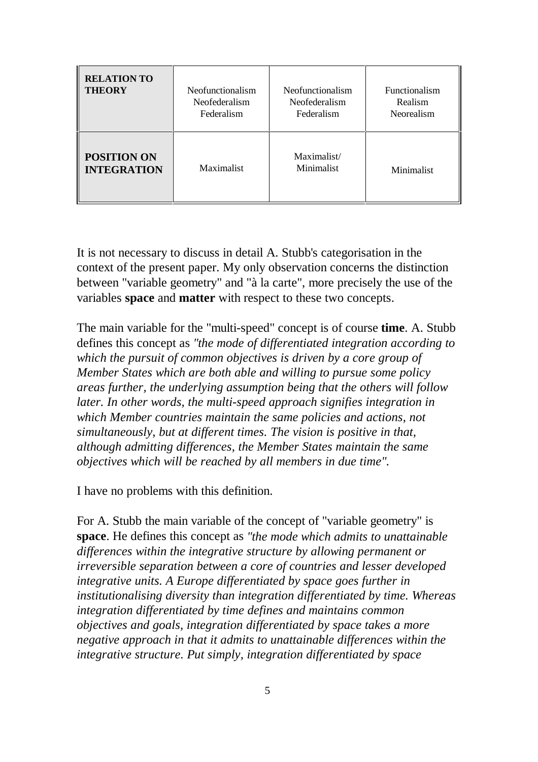| <b>RELATION TO</b><br><b>THEORY</b>      | Neofunctionalism<br>Neofederalism<br>Federalism | <b>Neofunctionalism</b><br>Neofederalism<br>Federalism | <b>Functionalism</b><br>Realism<br>Neorealism |
|------------------------------------------|-------------------------------------------------|--------------------------------------------------------|-----------------------------------------------|
| <b>POSITION ON</b><br><b>INTEGRATION</b> | Maximalist                                      | Maximalist/<br>Minimalist                              | Minimalist                                    |

It is not necessary to discuss in detail A. Stubb's categorisation in the context of the present paper. My only observation concerns the distinction between "variable geometry" and "à la carte", more precisely the use of the variables **space** and **matter** with respect to these two concepts.

The main variable for the "multi-speed" concept is of course **time**. A. Stubb defines this concept as *"the mode of differentiated integration according to which the pursuit of common objectives is driven by a core group of Member States which are both able and willing to pursue some policy areas further, the underlying assumption being that the others will follow later. In other words, the multi-speed approach signifies integration in which Member countries maintain the same policies and actions, not simultaneously, but at different times. The vision is positive in that, although admitting differences, the Member States maintain the same objectives which will be reached by all members in due time".*

I have no problems with this definition.

For A. Stubb the main variable of the concept of "variable geometry" is **space**. He defines this concept as *"the mode which admits to unattainable differences within the integrative structure by allowing permanent or irreversible separation between a core of countries and lesser developed integrative units. A Europe differentiated by space goes further in institutionalising diversity than integration differentiated by time. Whereas integration differentiated by time defines and maintains common objectives and goals, integration differentiated by space takes a more negative approach in that it admits to unattainable differences within the integrative structure. Put simply, integration differentiated by space*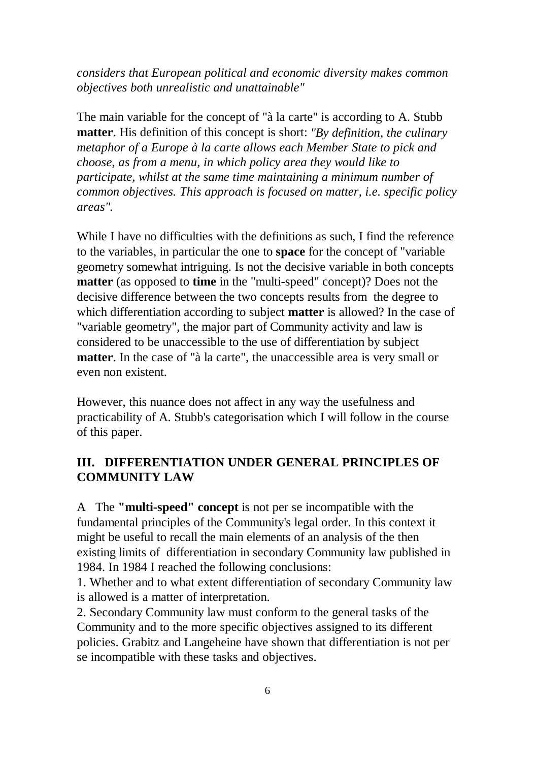*considers that European political and economic diversity makes common objectives both unrealistic and unattainable"*

The main variable for the concept of "à la carte" is according to A. Stubb **matter**. His definition of this concept is short: *"By definition, the culinary metaphor of a Europe à la carte allows each Member State to pick and choose, as from a menu, in which policy area they would like to participate, whilst at the same time maintaining a minimum number of common objectives. This approach is focused on matter, i.e. specific policy areas".*

While I have no difficulties with the definitions as such, I find the reference to the variables, in particular the one to **space** for the concept of "variable geometry somewhat intriguing. Is not the decisive variable in both concepts **matter** (as opposed to **time** in the "multi-speed" concept)? Does not the decisive difference between the two concepts results from the degree to which differentiation according to subject **matter** is allowed? In the case of "variable geometry", the major part of Community activity and law is considered to be unaccessible to the use of differentiation by subject **matter**. In the case of "à la carte", the unaccessible area is very small or even non existent.

However, this nuance does not affect in any way the usefulness and practicability of A. Stubb's categorisation which I will follow in the course of this paper.

### **III. DIFFERENTIATION UNDER GENERAL PRINCIPLES OF COMMUNITY LAW**

A The **"multi-speed" concept** is not per se incompatible with the fundamental principles of the Community's legal order. In this context it might be useful to recall the main elements of an analysis of the then existing limits of differentiation in secondary Community law published in 1984. In 1984 I reached the following conclusions:

1. Whether and to what extent differentiation of secondary Community law is allowed is a matter of interpretation.

2. Secondary Community law must conform to the general tasks of the Community and to the more specific objectives assigned to its different policies. Grabitz and Langeheine have shown that differentiation is not per se incompatible with these tasks and objectives.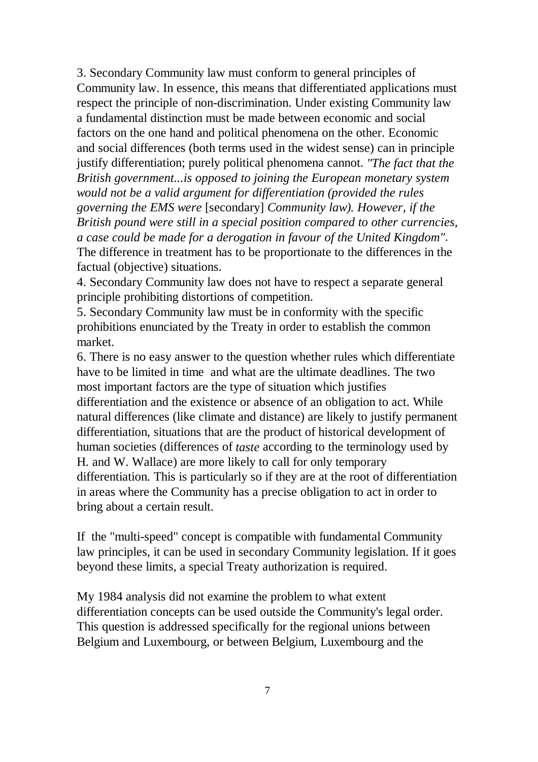3. Secondary Community law must conform to general principles of Community law. In essence, this means that differentiated applications must respect the principle of non-discrimination. Under existing Community law a fundamental distinction must be made between economic and social factors on the one hand and political phenomena on the other. Economic and social differences (both terms used in the widest sense) can in principle justify differentiation; purely political phenomena cannot. *"The fact that the British government...is opposed to joining the European monetary system would not be a valid argument for differentiation (provided the rules governing the EMS were* [secondary] *Community law). However, if the British pound were still in a special position compared to other currencies, a case could be made for a derogation in favour of the United Kingdom"*. The difference in treatment has to be proportionate to the differences in the factual (objective) situations.

4. Secondary Community law does not have to respect a separate general principle prohibiting distortions of competition.

5. Secondary Community law must be in conformity with the specific prohibitions enunciated by the Treaty in order to establish the common market.

6. There is no easy answer to the question whether rules which differentiate have to be limited in time and what are the ultimate deadlines. The two most important factors are the type of situation which justifies differentiation and the existence or absence of an obligation to act. While natural differences (like climate and distance) are likely to justify permanent differentiation, situations that are the product of historical development of human societies (differences of *taste* according to the terminology used by H. and W. Wallace) are more likely to call for only temporary differentiation. This is particularly so if they are at the root of differentiation in areas where the Community has a precise obligation to act in order to bring about a certain result.

If the "multi-speed" concept is compatible with fundamental Community law principles, it can be used in secondary Community legislation. If it goes beyond these limits, a special Treaty authorization is required.

My 1984 analysis did not examine the problem to what extent differentiation concepts can be used outside the Community's legal order. This question is addressed specifically for the regional unions between Belgium and Luxembourg, or between Belgium, Luxembourg and the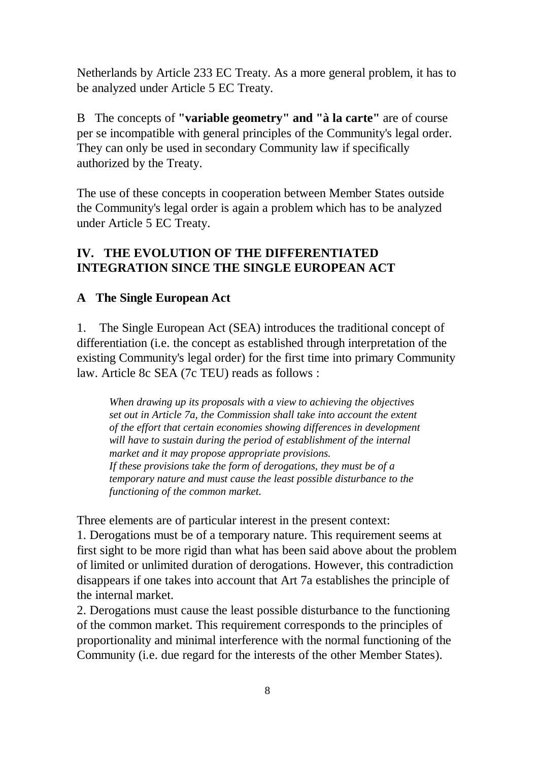Netherlands by Article 233 EC Treaty. As a more general problem, it has to be analyzed under Article 5 EC Treaty.

B The concepts of **"variable geometry" and "à la carte"** are of course per se incompatible with general principles of the Community's legal order. They can only be used in secondary Community law if specifically authorized by the Treaty.

The use of these concepts in cooperation between Member States outside the Community's legal order is again a problem which has to be analyzed under Article 5 EC Treaty.

### **IV. THE EVOLUTION OF THE DIFFERENTIATED INTEGRATION SINCE THE SINGLE EUROPEAN ACT**

### **A The Single European Act**

1. The Single European Act (SEA) introduces the traditional concept of differentiation (i.e. the concept as established through interpretation of the existing Community's legal order) for the first time into primary Community law. Article 8c SEA (7c TEU) reads as follows :

*When drawing up its proposals with a view to achieving the objectives set out in Article 7a, the Commission shall take into account the extent of the effort that certain economies showing differences in development will have to sustain during the period of establishment of the internal market and it may propose appropriate provisions. If these provisions take the form of derogations, they must be of a temporary nature and must cause the least possible disturbance to the functioning of the common market.*

Three elements are of particular interest in the present context:

1. Derogations must be of a temporary nature. This requirement seems at first sight to be more rigid than what has been said above about the problem of limited or unlimited duration of derogations. However, this contradiction disappears if one takes into account that Art 7a establishes the principle of the internal market.

2. Derogations must cause the least possible disturbance to the functioning of the common market. This requirement corresponds to the principles of proportionality and minimal interference with the normal functioning of the Community (i.e. due regard for the interests of the other Member States).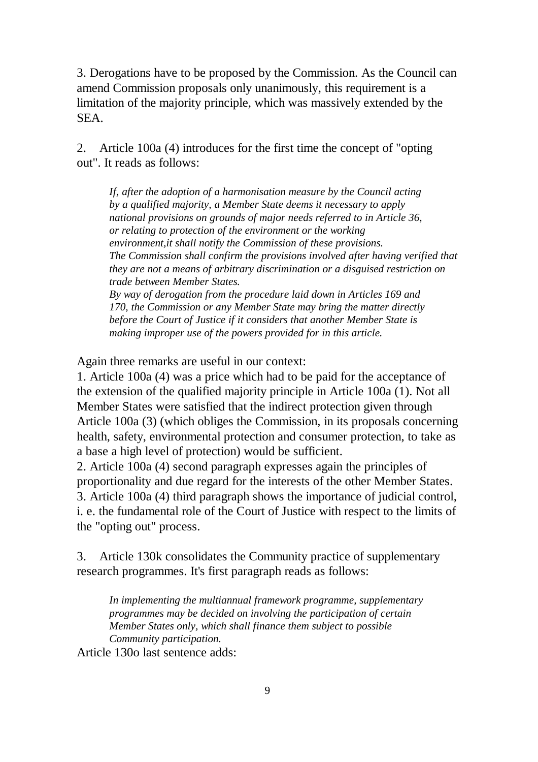3. Derogations have to be proposed by the Commission. As the Council can amend Commission proposals only unanimously, this requirement is a limitation of the majority principle, which was massively extended by the SEA.

2. Article 100a (4) introduces for the first time the concept of "opting out". It reads as follows:

*If, after the adoption of a harmonisation measure by the Council acting by a qualified majority, a Member State deems it necessary to apply national provisions on grounds of major needs referred to in Article 36, or relating to protection of the environment or the working environment,it shall notify the Commission of these provisions. The Commission shall confirm the provisions involved after having verified that they are not a means of arbitrary discrimination or a disguised restriction on trade between Member States.*

*By way of derogation from the procedure laid down in Articles 169 and 170, the Commission or any Member State may bring the matter directly before the Court of Justice if it considers that another Member State is making improper use of the powers provided for in this article.*

Again three remarks are useful in our context:

1. Article 100a (4) was a price which had to be paid for the acceptance of the extension of the qualified majority principle in Article 100a (1). Not all Member States were satisfied that the indirect protection given through Article 100a (3) (which obliges the Commission, in its proposals concerning health, safety, environmental protection and consumer protection, to take as a base a high level of protection) would be sufficient.

2. Article 100a (4) second paragraph expresses again the principles of proportionality and due regard for the interests of the other Member States. 3. Article 100a (4) third paragraph shows the importance of judicial control, i. e. the fundamental role of the Court of Justice with respect to the limits of the "opting out" process.

3. Article 130k consolidates the Community practice of supplementary research programmes. It's first paragraph reads as follows:

*In implementing the multiannual framework programme, supplementary programmes may be decided on involving the participation of certain Member States only, which shall finance them subject to possible Community participation.*

Article 130o last sentence adds: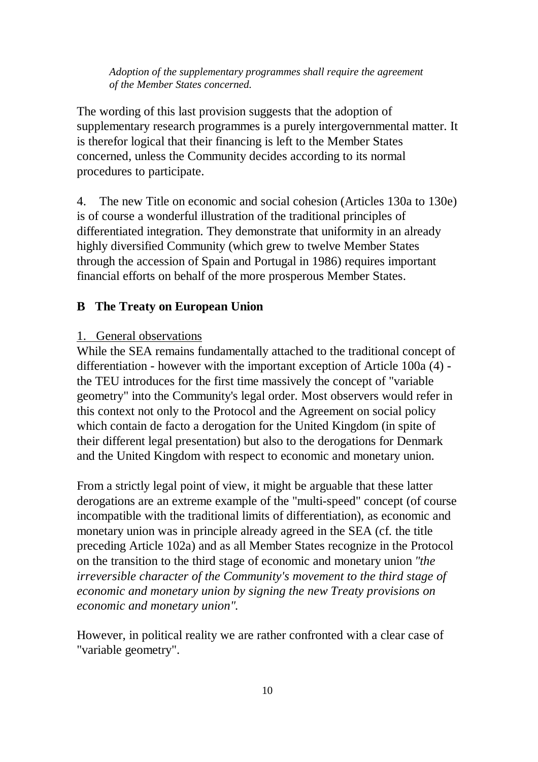*Adoption of the supplementary programmes shall require the agreement of the Member States concerned.*

The wording of this last provision suggests that the adoption of supplementary research programmes is a purely intergovernmental matter. It is therefor logical that their financing is left to the Member States concerned, unless the Community decides according to its normal procedures to participate.

4. The new Title on economic and social cohesion (Articles 130a to 130e) is of course a wonderful illustration of the traditional principles of differentiated integration. They demonstrate that uniformity in an already highly diversified Community (which grew to twelve Member States through the accession of Spain and Portugal in 1986) requires important financial efforts on behalf of the more prosperous Member States.

#### **B The Treaty on European Union**

#### 1. General observations

While the SEA remains fundamentally attached to the traditional concept of differentiation - however with the important exception of Article 100a (4) the TEU introduces for the first time massively the concept of "variable geometry" into the Community's legal order. Most observers would refer in this context not only to the Protocol and the Agreement on social policy which contain de facto a derogation for the United Kingdom (in spite of their different legal presentation) but also to the derogations for Denmark and the United Kingdom with respect to economic and monetary union.

From a strictly legal point of view, it might be arguable that these latter derogations are an extreme example of the "multi-speed" concept (of course incompatible with the traditional limits of differentiation), as economic and monetary union was in principle already agreed in the SEA (cf. the title preceding Article 102a) and as all Member States recognize in the Protocol on the transition to the third stage of economic and monetary union *"the irreversible character of the Community's movement to the third stage of economic and monetary union by signing the new Treaty provisions on economic and monetary union".* 

However, in political reality we are rather confronted with a clear case of "variable geometry".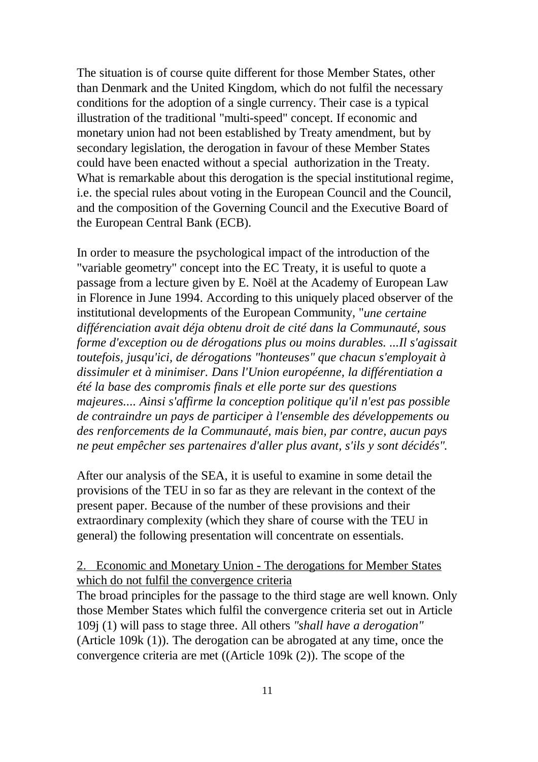The situation is of course quite different for those Member States, other than Denmark and the United Kingdom, which do not fulfil the necessary conditions for the adoption of a single currency. Their case is a typical illustration of the traditional "multi-speed" concept. If economic and monetary union had not been established by Treaty amendment, but by secondary legislation, the derogation in favour of these Member States could have been enacted without a special authorization in the Treaty. What is remarkable about this derogation is the special institutional regime, i.e. the special rules about voting in the European Council and the Council, and the composition of the Governing Council and the Executive Board of the European Central Bank (ECB).

In order to measure the psychological impact of the introduction of the "variable geometry" concept into the EC Treaty, it is useful to quote a passage from a lecture given by E. Noël at the Academy of European Law in Florence in June 1994. According to this uniquely placed observer of the institutional developments of the European Community, "*une certaine différenciation avait déja obtenu droit de cité dans la Communauté, sous forme d'exception ou de dérogations plus ou moins durables. ...Il s'agissait toutefois, jusqu'ici, de dérogations "honteuses" que chacun s'employait à dissimuler et à minimiser. Dans l'Union européenne, la différentiation a été la base des compromis finals et elle porte sur des questions majeures.... Ainsi s'affirme la conception politique qu'il n'est pas possible de contraindre un pays de participer à l'ensemble des développements ou des renforcements de la Communauté, mais bien, par contre, aucun pays ne peut empêcher ses partenaires d'aller plus avant, s'ils y sont décidés".*

After our analysis of the SEA, it is useful to examine in some detail the provisions of the TEU in so far as they are relevant in the context of the present paper. Because of the number of these provisions and their extraordinary complexity (which they share of course with the TEU in general) the following presentation will concentrate on essentials.

#### 2. Economic and Monetary Union - The derogations for Member States which do not fulfil the convergence criteria

The broad principles for the passage to the third stage are well known. Only those Member States which fulfil the convergence criteria set out in Article 109j (1) will pass to stage three. All others *"shall have a derogation"* (Article 109k (1)). The derogation can be abrogated at any time, once the convergence criteria are met ((Article 109k (2)). The scope of the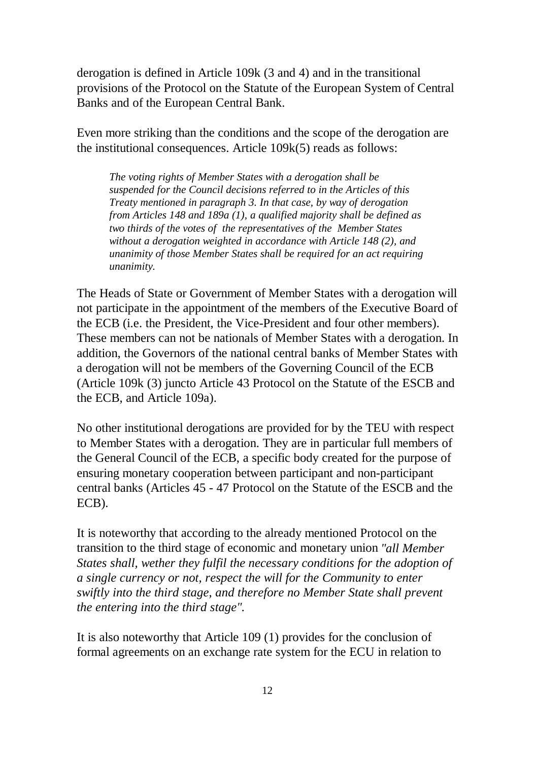derogation is defined in Article 109k (3 and 4) and in the transitional provisions of the Protocol on the Statute of the European System of Central Banks and of the European Central Bank.

Even more striking than the conditions and the scope of the derogation are the institutional consequences. Article 109k(5) reads as follows:

*The voting rights of Member States with a derogation shall be suspended for the Council decisions referred to in the Articles of this Treaty mentioned in paragraph 3. In that case, by way of derogation from Articles 148 and 189a (1), a qualified majority shall be defined as two thirds of the votes of the representatives of the Member States without a derogation weighted in accordance with Article 148 (2), and unanimity of those Member States shall be required for an act requiring unanimity.* 

The Heads of State or Government of Member States with a derogation will not participate in the appointment of the members of the Executive Board of the ECB (i.e. the President, the Vice-President and four other members). These members can not be nationals of Member States with a derogation. In addition, the Governors of the national central banks of Member States with a derogation will not be members of the Governing Council of the ECB (Article 109k (3) juncto Article 43 Protocol on the Statute of the ESCB and the ECB, and Article 109a).

No other institutional derogations are provided for by the TEU with respect to Member States with a derogation. They are in particular full members of the General Council of the ECB, a specific body created for the purpose of ensuring monetary cooperation between participant and non-participant central banks (Articles 45 - 47 Protocol on the Statute of the ESCB and the ECB).

It is noteworthy that according to the already mentioned Protocol on the transition to the third stage of economic and monetary union *"all Member States shall, wether they fulfil the necessary conditions for the adoption of a single currency or not, respect the will for the Community to enter swiftly into the third stage, and therefore no Member State shall prevent the entering into the third stage".*

It is also noteworthy that Article 109 (1) provides for the conclusion of formal agreements on an exchange rate system for the ECU in relation to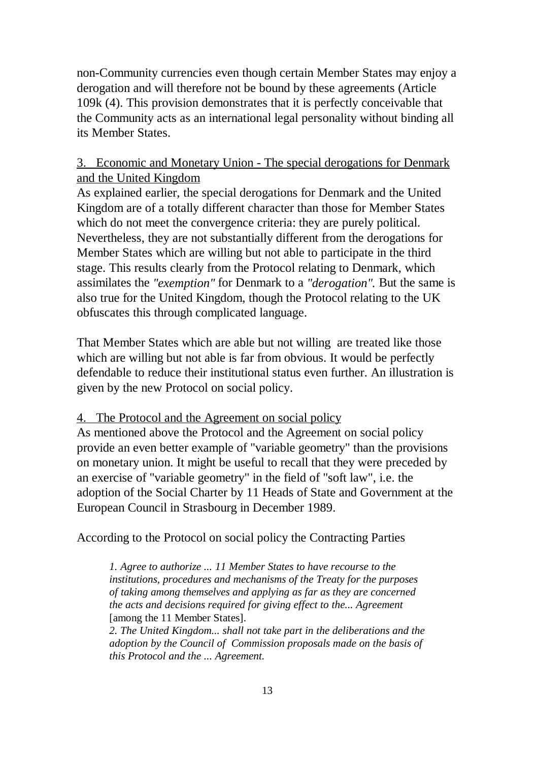non-Community currencies even though certain Member States may enjoy a derogation and will therefore not be bound by these agreements (Article 109k (4). This provision demonstrates that it is perfectly conceivable that the Community acts as an international legal personality without binding all its Member States.

#### 3. Economic and Monetary Union - The special derogations for Denmark and the United Kingdom

As explained earlier, the special derogations for Denmark and the United Kingdom are of a totally different character than those for Member States which do not meet the convergence criteria: they are purely political. Nevertheless, they are not substantially different from the derogations for Member States which are willing but not able to participate in the third stage. This results clearly from the Protocol relating to Denmark, which assimilates the *"exemption"* for Denmark to a *"derogation".* But the same is also true for the United Kingdom, though the Protocol relating to the UK obfuscates this through complicated language.

That Member States which are able but not willing are treated like those which are willing but not able is far from obvious. It would be perfectly defendable to reduce their institutional status even further. An illustration is given by the new Protocol on social policy.

#### 4. The Protocol and the Agreement on social policy

As mentioned above the Protocol and the Agreement on social policy provide an even better example of "variable geometry" than the provisions on monetary union. It might be useful to recall that they were preceded by an exercise of "variable geometry" in the field of "soft law", i.e. the adoption of the Social Charter by 11 Heads of State and Government at the European Council in Strasbourg in December 1989.

### According to the Protocol on social policy the Contracting Parties

*1. Agree to authorize ... 11 Member States to have recourse to the institutions, procedures and mechanisms of the Treaty for the purposes of taking among themselves and applying as far as they are concerned the acts and decisions required for giving effect to the... Agreement* [among the 11 Member States].

*2. The United Kingdom... shall not take part in the deliberations and the adoption by the Council of Commission proposals made on the basis of this Protocol and the ... Agreement.*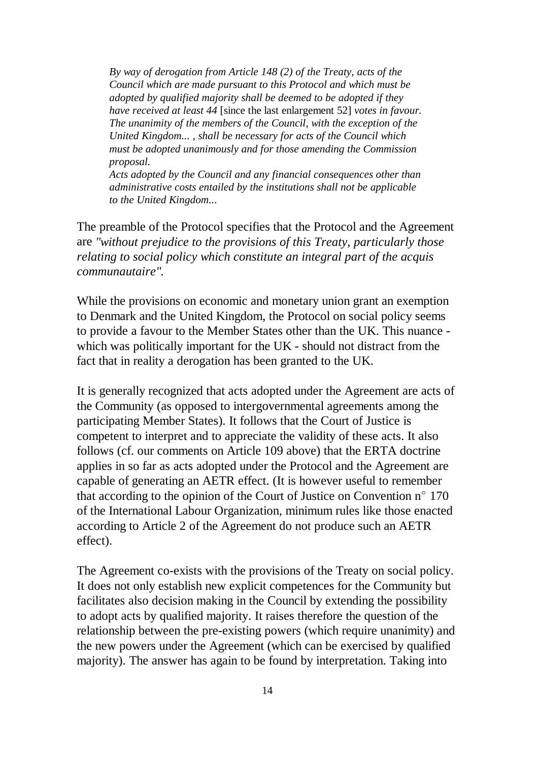*By way of derogation from Article 148 (2) of the Treaty, acts of the Council which are made pursuant to this Protocol and which must be adopted by qualified majority shall be deemed to be adopted if they have received at least 44* [since the last enlargement 52] *votes in favour. The unanimity of the members of the Council, with the exception of the United Kingdom... , shall be necessary for acts of the Council which must be adopted unanimously and for those amending the Commission proposal.*

*Acts adopted by the Council and any financial consequences other than administrative costs entailed by the institutions shall not be applicable to the United Kingdom...*

The preamble of the Protocol specifies that the Protocol and the Agreement are *"without prejudice to the provisions of this Treaty, particularly those relating to social policy which constitute an integral part of the acquis communautaire".*

While the provisions on economic and monetary union grant an exemption to Denmark and the United Kingdom, the Protocol on social policy seems to provide a favour to the Member States other than the UK. This nuance which was politically important for the UK - should not distract from the fact that in reality a derogation has been granted to the UK.

It is generally recognized that acts adopted under the Agreement are acts of the Community (as opposed to intergovernmental agreements among the participating Member States). It follows that the Court of Justice is competent to interpret and to appreciate the validity of these acts. It also follows (cf. our comments on Article 109 above) that the ERTA doctrine applies in so far as acts adopted under the Protocol and the Agreement are capable of generating an AETR effect. (It is however useful to remember that according to the opinion of the Court of Justice on Convention  $n^{\circ}$  170 of the International Labour Organization, minimum rules like those enacted according to Article 2 of the Agreement do not produce such an AETR effect).

The Agreement co-exists with the provisions of the Treaty on social policy. It does not only establish new explicit competences for the Community but facilitates also decision making in the Council by extending the possibility to adopt acts by qualified majority. It raises therefore the question of the relationship between the pre-existing powers (which require unanimity) and the new powers under the Agreement (which can be exercised by qualified majority). The answer has again to be found by interpretation. Taking into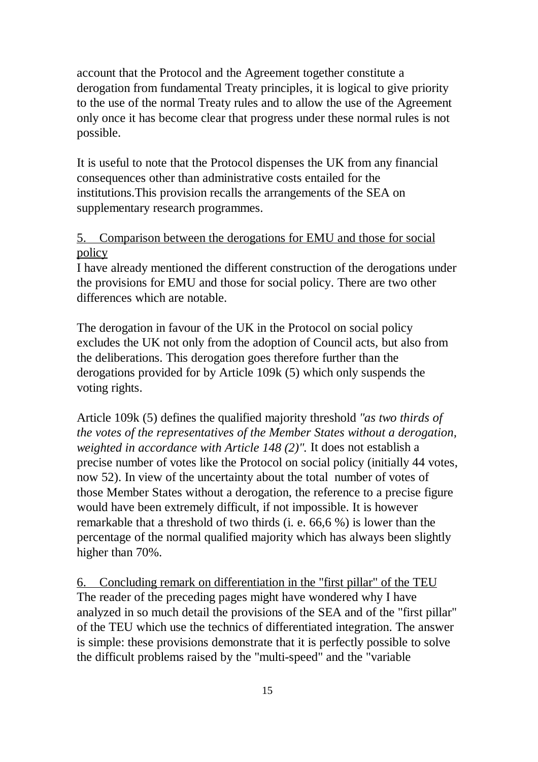account that the Protocol and the Agreement together constitute a derogation from fundamental Treaty principles, it is logical to give priority to the use of the normal Treaty rules and to allow the use of the Agreement only once it has become clear that progress under these normal rules is not possible.

It is useful to note that the Protocol dispenses the UK from any financial consequences other than administrative costs entailed for the institutions.This provision recalls the arrangements of the SEA on supplementary research programmes.

### 5. Comparison between the derogations for EMU and those for social policy

I have already mentioned the different construction of the derogations under the provisions for EMU and those for social policy. There are two other differences which are notable.

The derogation in favour of the UK in the Protocol on social policy excludes the UK not only from the adoption of Council acts, but also from the deliberations. This derogation goes therefore further than the derogations provided for by Article 109k (5) which only suspends the voting rights.

Article 109k (5) defines the qualified majority threshold *"as two thirds of the votes of the representatives of the Member States without a derogation, weighted in accordance with Article 148 (2)".* It does not establish a precise number of votes like the Protocol on social policy (initially 44 votes, now 52). In view of the uncertainty about the total number of votes of those Member States without a derogation, the reference to a precise figure would have been extremely difficult, if not impossible. It is however remarkable that a threshold of two thirds (i. e. 66,6 %) is lower than the percentage of the normal qualified majority which has always been slightly higher than 70%.

6. Concluding remark on differentiation in the "first pillar" of the TEU The reader of the preceding pages might have wondered why I have analyzed in so much detail the provisions of the SEA and of the "first pillar" of the TEU which use the technics of differentiated integration. The answer is simple: these provisions demonstrate that it is perfectly possible to solve the difficult problems raised by the "multi-speed" and the "variable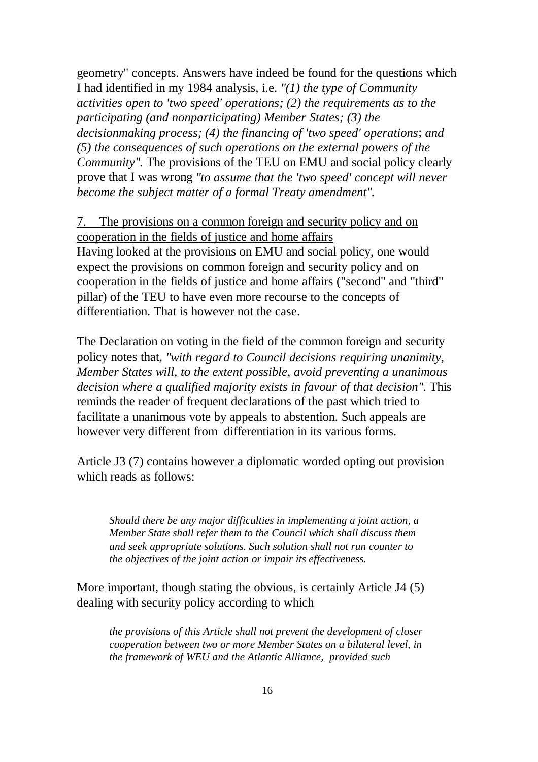geometry" concepts. Answers have indeed be found for the questions which I had identified in my 1984 analysis, i.e. *"(1) the type of Community activities open to 'two speed' operations; (2) the requirements as to the participating (and nonparticipating) Member States; (3) the decisionmaking process; (4) the financing of 'two speed' operations*; *and (5) the consequences of such operations on the external powers of the Community".* The provisions of the TEU on EMU and social policy clearly prove that I was wrong *"to assume that the 'two speed' concept will never become the subject matter of a formal Treaty amendment".*

### 7. The provisions on a common foreign and security policy and on cooperation in the fields of justice and home affairs Having looked at the provisions on EMU and social policy, one would expect the provisions on common foreign and security policy and on cooperation in the fields of justice and home affairs ("second" and "third" pillar) of the TEU to have even more recourse to the concepts of differentiation. That is however not the case.

The Declaration on voting in the field of the common foreign and security policy notes that, *"with regard to Council decisions requiring unanimity, Member States will, to the extent possible, avoid preventing a unanimous decision where a qualified majority exists in favour of that decision"*. This reminds the reader of frequent declarations of the past which tried to facilitate a unanimous vote by appeals to abstention. Such appeals are however very different from differentiation in its various forms.

Article J3 (7) contains however a diplomatic worded opting out provision which reads as follows:

*Should there be any major difficulties in implementing a joint action, a Member State shall refer them to the Council which shall discuss them and seek appropriate solutions. Such solution shall not run counter to the objectives of the joint action or impair its effectiveness.*

More important, though stating the obvious, is certainly Article J4 (5) dealing with security policy according to which

*the provisions of this Article shall not prevent the development of closer cooperation between two or more Member States on a bilateral level, in the framework of WEU and the Atlantic Alliance, provided such*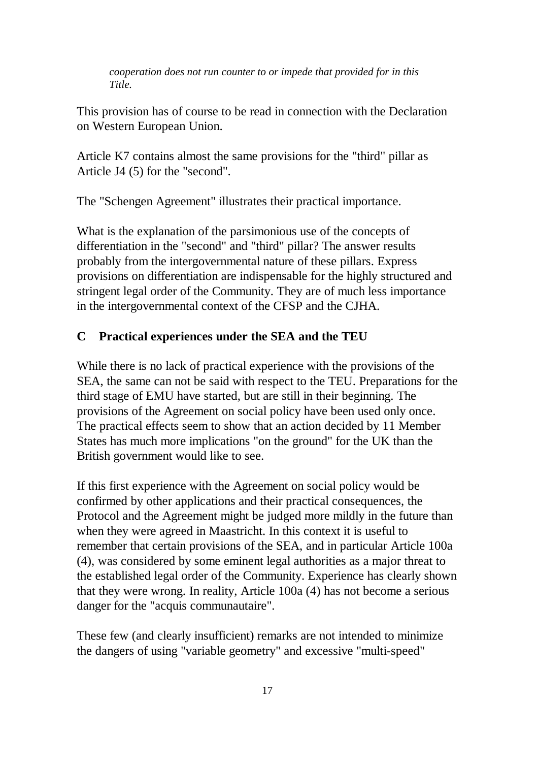*cooperation does not run counter to or impede that provided for in this Title.*

This provision has of course to be read in connection with the Declaration on Western European Union.

Article K7 contains almost the same provisions for the "third" pillar as Article J4 (5) for the "second".

The "Schengen Agreement" illustrates their practical importance.

What is the explanation of the parsimonious use of the concepts of differentiation in the "second" and "third" pillar? The answer results probably from the intergovernmental nature of these pillars. Express provisions on differentiation are indispensable for the highly structured and stringent legal order of the Community. They are of much less importance in the intergovernmental context of the CFSP and the CJHA.

### **C Practical experiences under the SEA and the TEU**

While there is no lack of practical experience with the provisions of the SEA, the same can not be said with respect to the TEU. Preparations for the third stage of EMU have started, but are still in their beginning. The provisions of the Agreement on social policy have been used only once. The practical effects seem to show that an action decided by 11 Member States has much more implications "on the ground" for the UK than the British government would like to see.

If this first experience with the Agreement on social policy would be confirmed by other applications and their practical consequences, the Protocol and the Agreement might be judged more mildly in the future than when they were agreed in Maastricht. In this context it is useful to remember that certain provisions of the SEA, and in particular Article 100a (4), was considered by some eminent legal authorities as a major threat to the established legal order of the Community. Experience has clearly shown that they were wrong. In reality, Article 100a (4) has not become a serious danger for the "acquis communautaire".

These few (and clearly insufficient) remarks are not intended to minimize the dangers of using "variable geometry" and excessive "multi-speed"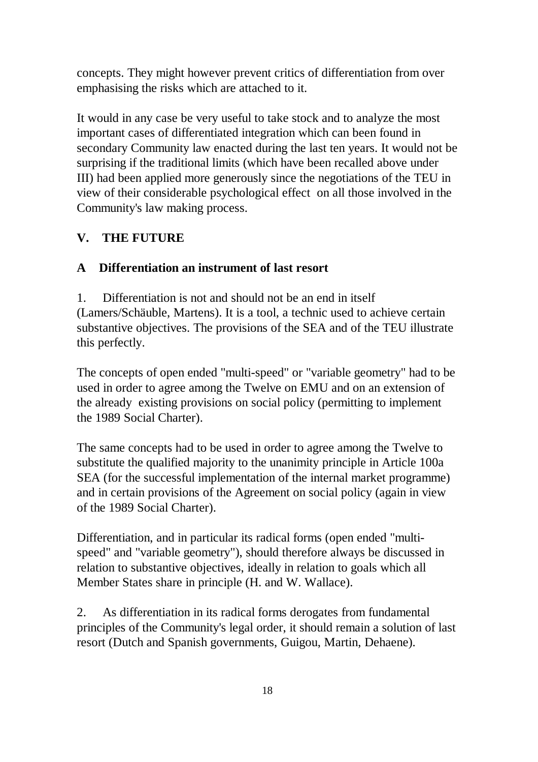concepts. They might however prevent critics of differentiation from over emphasising the risks which are attached to it.

It would in any case be very useful to take stock and to analyze the most important cases of differentiated integration which can been found in secondary Community law enacted during the last ten years. It would not be surprising if the traditional limits (which have been recalled above under III) had been applied more generously since the negotiations of the TEU in view of their considerable psychological effect on all those involved in the Community's law making process.

### **V. THE FUTURE**

#### **A Differentiation an instrument of last resort**

1. Differentiation is not and should not be an end in itself (Lamers/Schäuble, Martens). It is a tool, a technic used to achieve certain substantive objectives. The provisions of the SEA and of the TEU illustrate this perfectly.

The concepts of open ended "multi-speed" or "variable geometry" had to be used in order to agree among the Twelve on EMU and on an extension of the already existing provisions on social policy (permitting to implement the 1989 Social Charter).

The same concepts had to be used in order to agree among the Twelve to substitute the qualified majority to the unanimity principle in Article 100a SEA (for the successful implementation of the internal market programme) and in certain provisions of the Agreement on social policy (again in view of the 1989 Social Charter).

Differentiation, and in particular its radical forms (open ended "multispeed" and "variable geometry"), should therefore always be discussed in relation to substantive objectives, ideally in relation to goals which all Member States share in principle (H. and W. Wallace).

2. As differentiation in its radical forms derogates from fundamental principles of the Community's legal order, it should remain a solution of last resort (Dutch and Spanish governments, Guigou, Martin, Dehaene).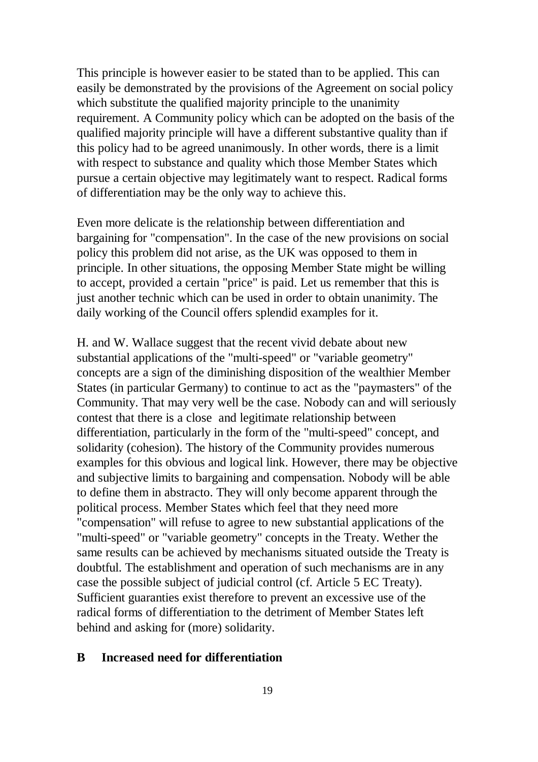This principle is however easier to be stated than to be applied. This can easily be demonstrated by the provisions of the Agreement on social policy which substitute the qualified majority principle to the unanimity requirement. A Community policy which can be adopted on the basis of the qualified majority principle will have a different substantive quality than if this policy had to be agreed unanimously. In other words, there is a limit with respect to substance and quality which those Member States which pursue a certain objective may legitimately want to respect. Radical forms of differentiation may be the only way to achieve this.

Even more delicate is the relationship between differentiation and bargaining for "compensation". In the case of the new provisions on social policy this problem did not arise, as the UK was opposed to them in principle. In other situations, the opposing Member State might be willing to accept, provided a certain "price" is paid. Let us remember that this is just another technic which can be used in order to obtain unanimity. The daily working of the Council offers splendid examples for it.

H. and W. Wallace suggest that the recent vivid debate about new substantial applications of the "multi-speed" or "variable geometry" concepts are a sign of the diminishing disposition of the wealthier Member States (in particular Germany) to continue to act as the "paymasters" of the Community. That may very well be the case. Nobody can and will seriously contest that there is a close and legitimate relationship between differentiation, particularly in the form of the "multi-speed" concept, and solidarity (cohesion). The history of the Community provides numerous examples for this obvious and logical link. However, there may be objective and subjective limits to bargaining and compensation. Nobody will be able to define them in abstracto. They will only become apparent through the political process. Member States which feel that they need more "compensation" will refuse to agree to new substantial applications of the "multi-speed" or "variable geometry" concepts in the Treaty. Wether the same results can be achieved by mechanisms situated outside the Treaty is doubtful. The establishment and operation of such mechanisms are in any case the possible subject of judicial control (cf. Article 5 EC Treaty). Sufficient guaranties exist therefore to prevent an excessive use of the radical forms of differentiation to the detriment of Member States left behind and asking for (more) solidarity.

#### **B Increased need for differentiation**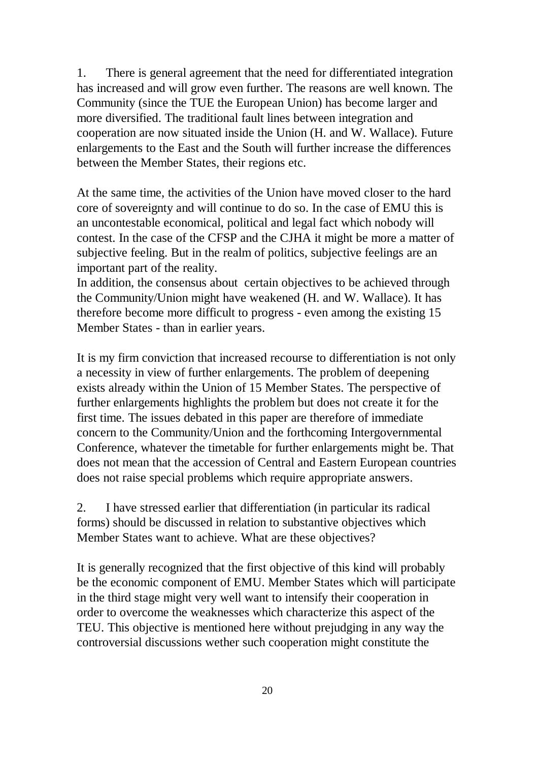1. There is general agreement that the need for differentiated integration has increased and will grow even further. The reasons are well known. The Community (since the TUE the European Union) has become larger and more diversified. The traditional fault lines between integration and cooperation are now situated inside the Union (H. and W. Wallace). Future enlargements to the East and the South will further increase the differences between the Member States, their regions etc.

At the same time, the activities of the Union have moved closer to the hard core of sovereignty and will continue to do so. In the case of EMU this is an uncontestable economical, political and legal fact which nobody will contest. In the case of the CFSP and the CJHA it might be more a matter of subjective feeling. But in the realm of politics, subjective feelings are an important part of the reality.

In addition, the consensus about certain objectives to be achieved through the Community/Union might have weakened (H. and W. Wallace). It has therefore become more difficult to progress - even among the existing 15 Member States - than in earlier years.

It is my firm conviction that increased recourse to differentiation is not only a necessity in view of further enlargements. The problem of deepening exists already within the Union of 15 Member States. The perspective of further enlargements highlights the problem but does not create it for the first time. The issues debated in this paper are therefore of immediate concern to the Community/Union and the forthcoming Intergovernmental Conference, whatever the timetable for further enlargements might be. That does not mean that the accession of Central and Eastern European countries does not raise special problems which require appropriate answers.

2. I have stressed earlier that differentiation (in particular its radical forms) should be discussed in relation to substantive objectives which Member States want to achieve. What are these objectives?

It is generally recognized that the first objective of this kind will probably be the economic component of EMU. Member States which will participate in the third stage might very well want to intensify their cooperation in order to overcome the weaknesses which characterize this aspect of the TEU. This objective is mentioned here without prejudging in any way the controversial discussions wether such cooperation might constitute the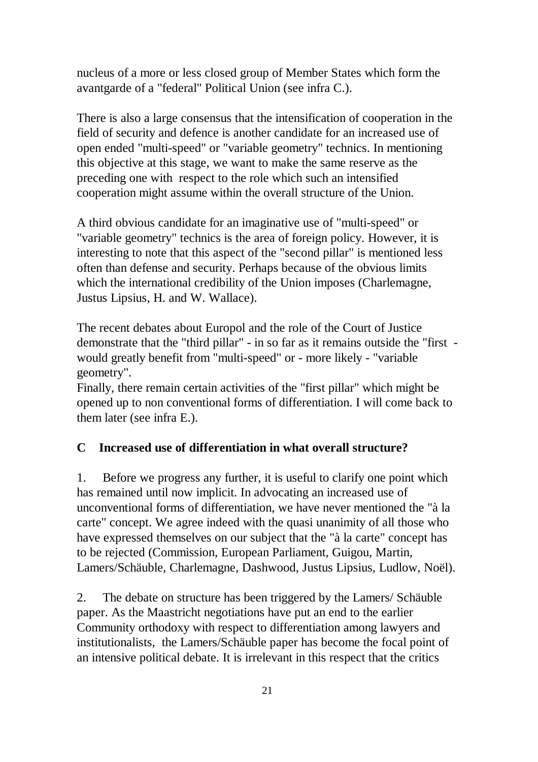nucleus of a more or less closed group of Member States which form the avantgarde of a "federal" Political Union (see infra C.).

There is also a large consensus that the intensification of cooperation in the field of security and defence is another candidate for an increased use of open ended "multi-speed" or "variable geometry" technics. In mentioning this objective at this stage, we want to make the same reserve as the preceding one with respect to the role which such an intensified cooperation might assume within the overall structure of the Union.

A third obvious candidate for an imaginative use of "multi-speed" or "variable geometry" technics is the area of foreign policy. However, it is interesting to note that this aspect of the "second pillar" is mentioned less often than defense and security. Perhaps because of the obvious limits which the international credibility of the Union imposes (Charlemagne, Justus Lipsius, H. and W. Wallace).

The recent debates about Europol and the role of the Court of Justice demonstrate that the "third pillar" - in so far as it remains outside the "first would greatly benefit from "multi-speed" or - more likely - "variable geometry".

Finally, there remain certain activities of the "first pillar" which might be opened up to non conventional forms of differentiation. I will come back to them later (see infra E.).

#### **C Increased use of differentiation in what overall structure?**

1. Before we progress any further, it is useful to clarify one point which has remained until now implicit. In advocating an increased use of unconventional forms of differentiation, we have never mentioned the "à la carte" concept. We agree indeed with the quasi unanimity of all those who have expressed themselves on our subject that the "à la carte" concept has to be rejected (Commission, European Parliament, Guigou, Martin, Lamers/Schäuble, Charlemagne, Dashwood, Justus Lipsius, Ludlow, Noël).

2. The debate on structure has been triggered by the Lamers/ Schäuble paper. As the Maastricht negotiations have put an end to the earlier Community orthodoxy with respect to differentiation among lawyers and institutionalists, the Lamers/Schäuble paper has become the focal point of an intensive political debate. It is irrelevant in this respect that the critics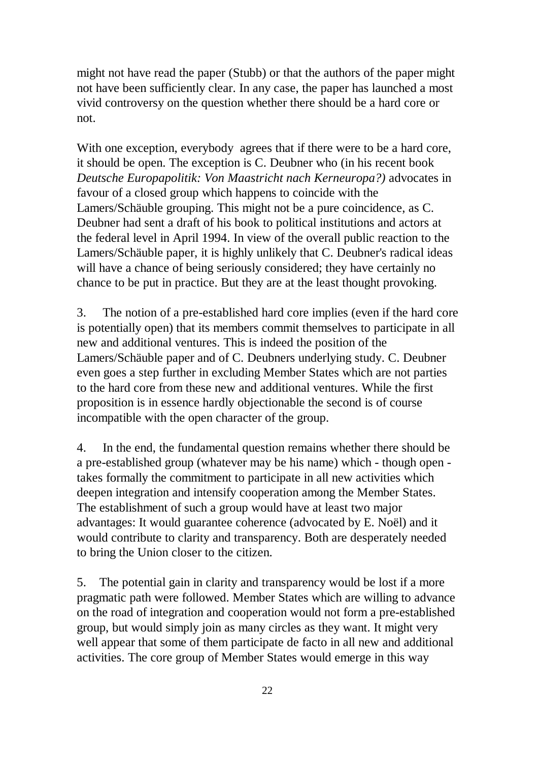might not have read the paper (Stubb) or that the authors of the paper might not have been sufficiently clear. In any case, the paper has launched a most vivid controversy on the question whether there should be a hard core or not.

With one exception, everybody agrees that if there were to be a hard core, it should be open. The exception is C. Deubner who (in his recent book *Deutsche Europapolitik: Von Maastricht nach Kerneuropa?)* advocates in favour of a closed group which happens to coincide with the Lamers/Schäuble grouping. This might not be a pure coincidence, as C. Deubner had sent a draft of his book to political institutions and actors at the federal level in April 1994. In view of the overall public reaction to the Lamers/Schäuble paper, it is highly unlikely that C. Deubner's radical ideas will have a chance of being seriously considered; they have certainly no chance to be put in practice. But they are at the least thought provoking.

3. The notion of a pre-established hard core implies (even if the hard core is potentially open) that its members commit themselves to participate in all new and additional ventures. This is indeed the position of the Lamers/Schäuble paper and of C. Deubners underlying study. C. Deubner even goes a step further in excluding Member States which are not parties to the hard core from these new and additional ventures. While the first proposition is in essence hardly objectionable the second is of course incompatible with the open character of the group.

4. In the end, the fundamental question remains whether there should be a pre-established group (whatever may be his name) which - though open takes formally the commitment to participate in all new activities which deepen integration and intensify cooperation among the Member States. The establishment of such a group would have at least two major advantages: It would guarantee coherence (advocated by E. Noël) and it would contribute to clarity and transparency. Both are desperately needed to bring the Union closer to the citizen.

5. The potential gain in clarity and transparency would be lost if a more pragmatic path were followed. Member States which are willing to advance on the road of integration and cooperation would not form a pre-established group, but would simply join as many circles as they want. It might very well appear that some of them participate de facto in all new and additional activities. The core group of Member States would emerge in this way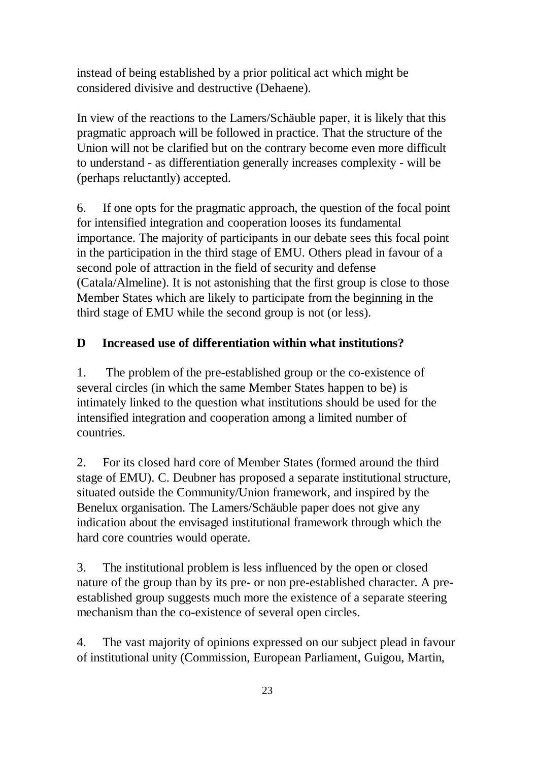instead of being established by a prior political act which might be considered divisive and destructive (Dehaene).

In view of the reactions to the Lamers/Schäuble paper, it is likely that this pragmatic approach will be followed in practice. That the structure of the Union will not be clarified but on the contrary become even more difficult to understand - as differentiation generally increases complexity - will be (perhaps reluctantly) accepted.

6. If one opts for the pragmatic approach, the question of the focal point for intensified integration and cooperation looses its fundamental importance. The majority of participants in our debate sees this focal point in the participation in the third stage of EMU. Others plead in favour of a second pole of attraction in the field of security and defense (Catala/Almeline). It is not astonishing that the first group is close to those Member States which are likely to participate from the beginning in the third stage of EMU while the second group is not (or less).

### **D Increased use of differentiation within what institutions?**

1. The problem of the pre-established group or the co-existence of several circles (in which the same Member States happen to be) is intimately linked to the question what institutions should be used for the intensified integration and cooperation among a limited number of countries.

2. For its closed hard core of Member States (formed around the third stage of EMU). C. Deubner has proposed a separate institutional structure, situated outside the Community/Union framework, and inspired by the Benelux organisation. The Lamers/Schäuble paper does not give any indication about the envisaged institutional framework through which the hard core countries would operate.

3. The institutional problem is less influenced by the open or closed nature of the group than by its pre- or non pre-established character. A preestablished group suggests much more the existence of a separate steering mechanism than the co-existence of several open circles.

4. The vast majority of opinions expressed on our subject plead in favour of institutional unity (Commission, European Parliament, Guigou, Martin,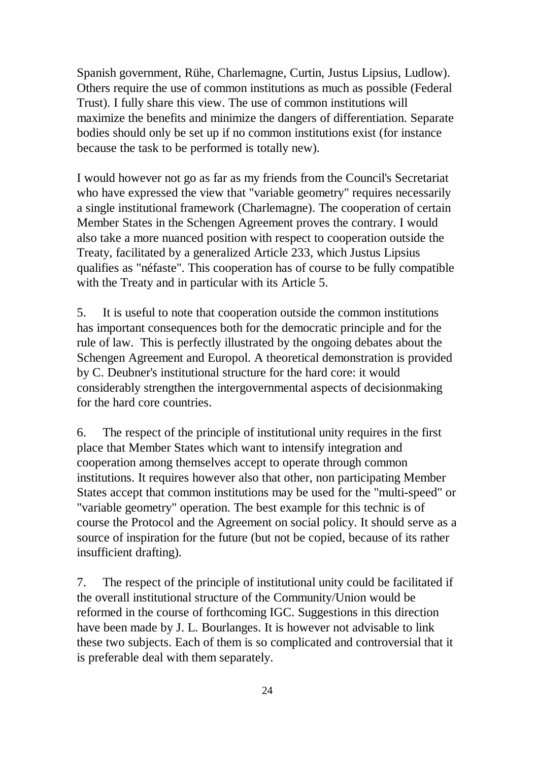Spanish government, Rühe, Charlemagne, Curtin, Justus Lipsius, Ludlow). Others require the use of common institutions as much as possible (Federal Trust). I fully share this view. The use of common institutions will maximize the benefits and minimize the dangers of differentiation. Separate bodies should only be set up if no common institutions exist (for instance because the task to be performed is totally new).

I would however not go as far as my friends from the Council's Secretariat who have expressed the view that "variable geometry" requires necessarily a single institutional framework (Charlemagne). The cooperation of certain Member States in the Schengen Agreement proves the contrary. I would also take a more nuanced position with respect to cooperation outside the Treaty, facilitated by a generalized Article 233, which Justus Lipsius qualifies as "néfaste". This cooperation has of course to be fully compatible with the Treaty and in particular with its Article 5.

5. It is useful to note that cooperation outside the common institutions has important consequences both for the democratic principle and for the rule of law. This is perfectly illustrated by the ongoing debates about the Schengen Agreement and Europol. A theoretical demonstration is provided by C. Deubner's institutional structure for the hard core: it would considerably strengthen the intergovernmental aspects of decisionmaking for the hard core countries.

6. The respect of the principle of institutional unity requires in the first place that Member States which want to intensify integration and cooperation among themselves accept to operate through common institutions. It requires however also that other, non participating Member States accept that common institutions may be used for the "multi-speed" or "variable geometry" operation. The best example for this technic is of course the Protocol and the Agreement on social policy. It should serve as a source of inspiration for the future (but not be copied, because of its rather insufficient drafting).

7. The respect of the principle of institutional unity could be facilitated if the overall institutional structure of the Community/Union would be reformed in the course of forthcoming IGC. Suggestions in this direction have been made by J. L. Bourlanges. It is however not advisable to link these two subjects. Each of them is so complicated and controversial that it is preferable deal with them separately.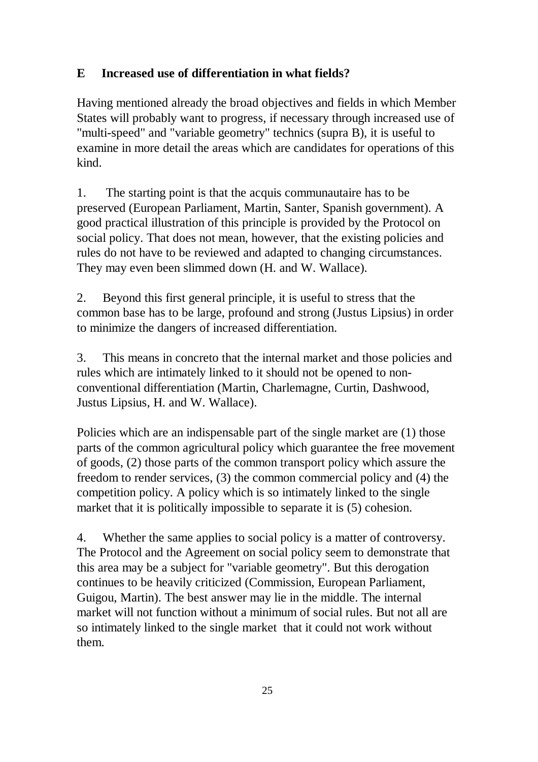# **E Increased use of differentiation in what fields?**

Having mentioned already the broad objectives and fields in which Member States will probably want to progress, if necessary through increased use of "multi-speed" and "variable geometry" technics (supra B), it is useful to examine in more detail the areas which are candidates for operations of this kind.

1. The starting point is that the acquis communautaire has to be preserved (European Parliament, Martin, Santer, Spanish government). A good practical illustration of this principle is provided by the Protocol on social policy. That does not mean, however, that the existing policies and rules do not have to be reviewed and adapted to changing circumstances. They may even been slimmed down (H. and W. Wallace).

2. Beyond this first general principle, it is useful to stress that the common base has to be large, profound and strong (Justus Lipsius) in order to minimize the dangers of increased differentiation.

3. This means in concreto that the internal market and those policies and rules which are intimately linked to it should not be opened to nonconventional differentiation (Martin, Charlemagne, Curtin, Dashwood, Justus Lipsius, H. and W. Wallace).

Policies which are an indispensable part of the single market are (1) those parts of the common agricultural policy which guarantee the free movement of goods, (2) those parts of the common transport policy which assure the freedom to render services, (3) the common commercial policy and (4) the competition policy. A policy which is so intimately linked to the single market that it is politically impossible to separate it is (5) cohesion.

4. Whether the same applies to social policy is a matter of controversy. The Protocol and the Agreement on social policy seem to demonstrate that this area may be a subject for "variable geometry". But this derogation continues to be heavily criticized (Commission, European Parliament, Guigou, Martin). The best answer may lie in the middle. The internal market will not function without a minimum of social rules. But not all are so intimately linked to the single market that it could not work without them.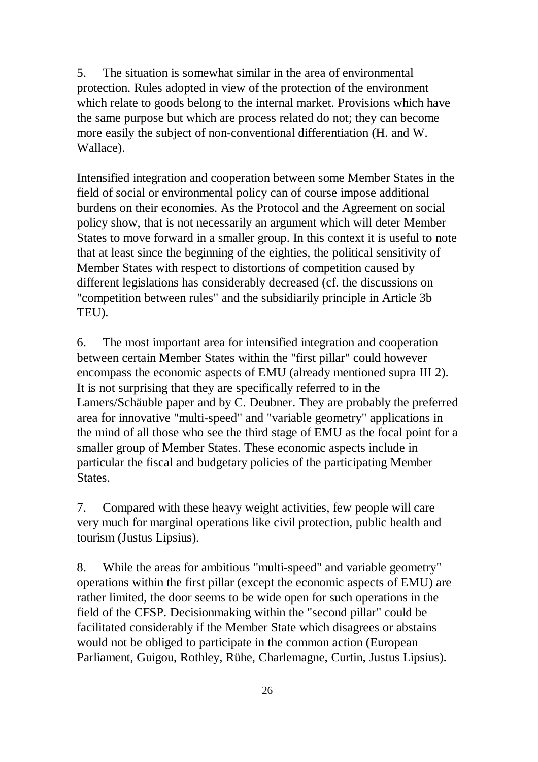5. The situation is somewhat similar in the area of environmental protection. Rules adopted in view of the protection of the environment which relate to goods belong to the internal market. Provisions which have the same purpose but which are process related do not; they can become more easily the subject of non-conventional differentiation (H. and W. Wallace).

Intensified integration and cooperation between some Member States in the field of social or environmental policy can of course impose additional burdens on their economies. As the Protocol and the Agreement on social policy show, that is not necessarily an argument which will deter Member States to move forward in a smaller group. In this context it is useful to note that at least since the beginning of the eighties, the political sensitivity of Member States with respect to distortions of competition caused by different legislations has considerably decreased (cf. the discussions on "competition between rules" and the subsidiarily principle in Article 3b TEU).

6. The most important area for intensified integration and cooperation between certain Member States within the "first pillar" could however encompass the economic aspects of EMU (already mentioned supra III 2). It is not surprising that they are specifically referred to in the Lamers/Schäuble paper and by C. Deubner. They are probably the preferred area for innovative "multi-speed" and "variable geometry" applications in the mind of all those who see the third stage of EMU as the focal point for a smaller group of Member States. These economic aspects include in particular the fiscal and budgetary policies of the participating Member States.

7. Compared with these heavy weight activities, few people will care very much for marginal operations like civil protection, public health and tourism (Justus Lipsius).

8. While the areas for ambitious "multi-speed" and variable geometry" operations within the first pillar (except the economic aspects of EMU) are rather limited, the door seems to be wide open for such operations in the field of the CFSP. Decisionmaking within the "second pillar" could be facilitated considerably if the Member State which disagrees or abstains would not be obliged to participate in the common action (European Parliament, Guigou, Rothley, Rühe, Charlemagne, Curtin, Justus Lipsius).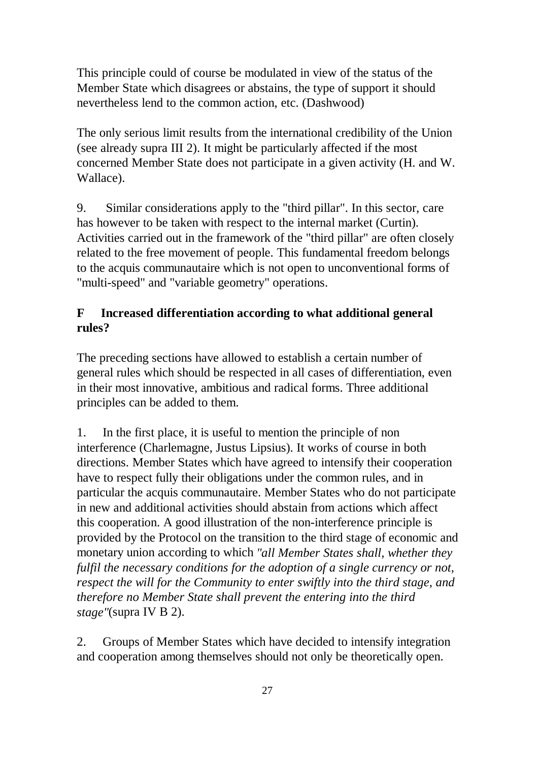This principle could of course be modulated in view of the status of the Member State which disagrees or abstains, the type of support it should nevertheless lend to the common action, etc. (Dashwood)

The only serious limit results from the international credibility of the Union (see already supra III 2). It might be particularly affected if the most concerned Member State does not participate in a given activity (H. and W. Wallace).

9. Similar considerations apply to the "third pillar". In this sector, care has however to be taken with respect to the internal market (Curtin). Activities carried out in the framework of the "third pillar" are often closely related to the free movement of people. This fundamental freedom belongs to the acquis communautaire which is not open to unconventional forms of "multi-speed" and "variable geometry" operations.

## **F Increased differentiation according to what additional general rules?**

The preceding sections have allowed to establish a certain number of general rules which should be respected in all cases of differentiation, even in their most innovative, ambitious and radical forms. Three additional principles can be added to them.

1. In the first place, it is useful to mention the principle of non interference (Charlemagne, Justus Lipsius). It works of course in both directions. Member States which have agreed to intensify their cooperation have to respect fully their obligations under the common rules, and in particular the acquis communautaire. Member States who do not participate in new and additional activities should abstain from actions which affect this cooperation. A good illustration of the non-interference principle is provided by the Protocol on the transition to the third stage of economic and monetary union according to which *"all Member States shall, whether they fulfil the necessary conditions for the adoption of a single currency or not, respect the will for the Community to enter swiftly into the third stage, and therefore no Member State shall prevent the entering into the third stage"*(supra IV B 2).

2. Groups of Member States which have decided to intensify integration and cooperation among themselves should not only be theoretically open.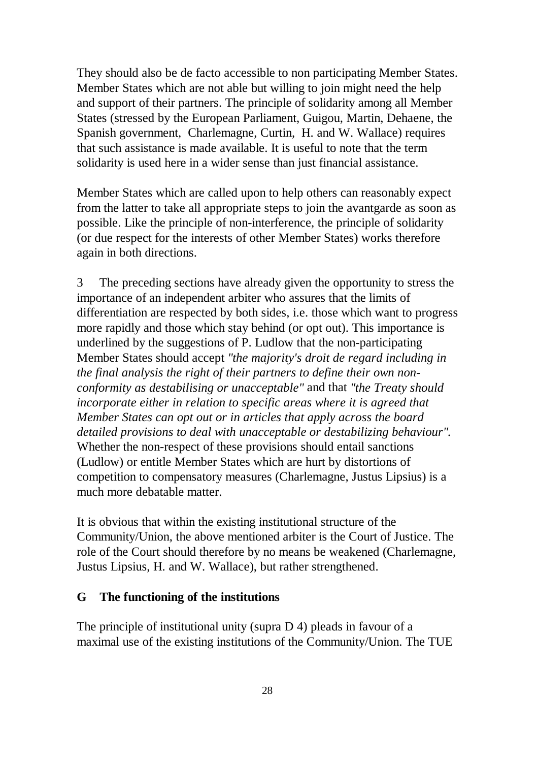They should also be de facto accessible to non participating Member States. Member States which are not able but willing to join might need the help and support of their partners. The principle of solidarity among all Member States (stressed by the European Parliament, Guigou, Martin, Dehaene, the Spanish government, Charlemagne, Curtin, H. and W. Wallace) requires that such assistance is made available. It is useful to note that the term solidarity is used here in a wider sense than just financial assistance.

Member States which are called upon to help others can reasonably expect from the latter to take all appropriate steps to join the avantgarde as soon as possible. Like the principle of non-interference, the principle of solidarity (or due respect for the interests of other Member States) works therefore again in both directions.

3 The preceding sections have already given the opportunity to stress the importance of an independent arbiter who assures that the limits of differentiation are respected by both sides, i.e. those which want to progress more rapidly and those which stay behind (or opt out). This importance is underlined by the suggestions of P. Ludlow that the non-participating Member States should accept *"the majority's droit de regard including in the final analysis the right of their partners to define their own nonconformity as destabilising or unacceptable"* and that *"the Treaty should incorporate either in relation to specific areas where it is agreed that Member States can opt out or in articles that apply across the board detailed provisions to deal with unacceptable or destabilizing behaviour".* Whether the non-respect of these provisions should entail sanctions (Ludlow) or entitle Member States which are hurt by distortions of competition to compensatory measures (Charlemagne, Justus Lipsius) is a much more debatable matter.

It is obvious that within the existing institutional structure of the Community/Union, the above mentioned arbiter is the Court of Justice. The role of the Court should therefore by no means be weakened (Charlemagne, Justus Lipsius, H. and W. Wallace), but rather strengthened.

#### **G The functioning of the institutions**

The principle of institutional unity (supra D 4) pleads in favour of a maximal use of the existing institutions of the Community/Union. The TUE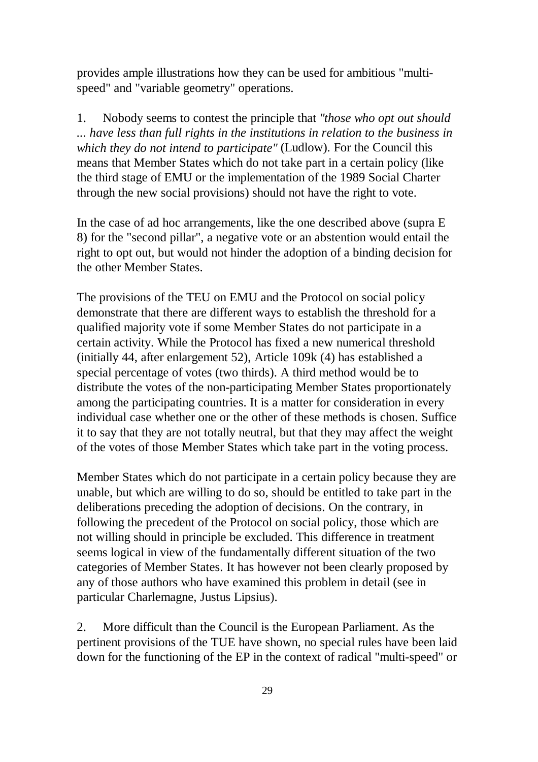provides ample illustrations how they can be used for ambitious "multispeed" and "variable geometry" operations.

1. Nobody seems to contest the principle that *"those who opt out should ... have less than full rights in the institutions in relation to the business in which they do not intend to participate"* (Ludlow). For the Council this means that Member States which do not take part in a certain policy (like the third stage of EMU or the implementation of the 1989 Social Charter through the new social provisions) should not have the right to vote.

In the case of ad hoc arrangements, like the one described above (supra E 8) for the "second pillar", a negative vote or an abstention would entail the right to opt out, but would not hinder the adoption of a binding decision for the other Member States.

The provisions of the TEU on EMU and the Protocol on social policy demonstrate that there are different ways to establish the threshold for a qualified majority vote if some Member States do not participate in a certain activity. While the Protocol has fixed a new numerical threshold (initially 44, after enlargement 52), Article 109k (4) has established a special percentage of votes (two thirds). A third method would be to distribute the votes of the non-participating Member States proportionately among the participating countries. It is a matter for consideration in every individual case whether one or the other of these methods is chosen. Suffice it to say that they are not totally neutral, but that they may affect the weight of the votes of those Member States which take part in the voting process.

Member States which do not participate in a certain policy because they are unable, but which are willing to do so, should be entitled to take part in the deliberations preceding the adoption of decisions. On the contrary, in following the precedent of the Protocol on social policy, those which are not willing should in principle be excluded. This difference in treatment seems logical in view of the fundamentally different situation of the two categories of Member States. It has however not been clearly proposed by any of those authors who have examined this problem in detail (see in particular Charlemagne, Justus Lipsius).

2. More difficult than the Council is the European Parliament. As the pertinent provisions of the TUE have shown, no special rules have been laid down for the functioning of the EP in the context of radical "multi-speed" or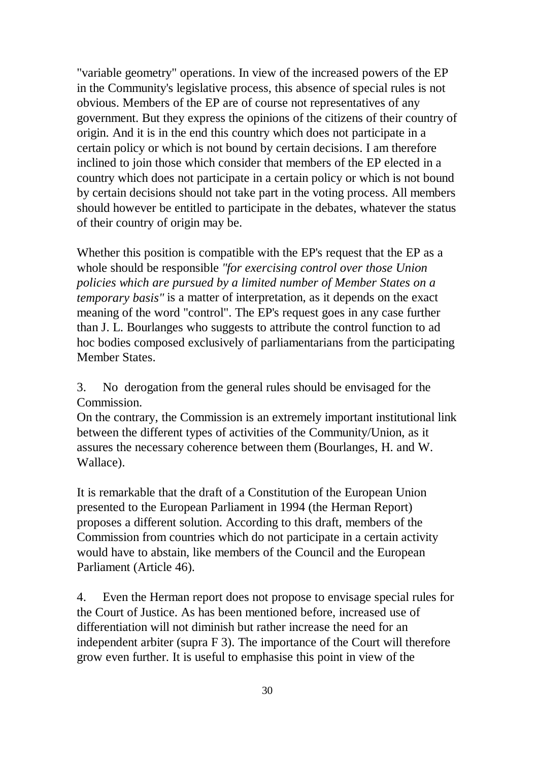"variable geometry" operations. In view of the increased powers of the EP in the Community's legislative process, this absence of special rules is not obvious. Members of the EP are of course not representatives of any government. But they express the opinions of the citizens of their country of origin. And it is in the end this country which does not participate in a certain policy or which is not bound by certain decisions. I am therefore inclined to join those which consider that members of the EP elected in a country which does not participate in a certain policy or which is not bound by certain decisions should not take part in the voting process. All members should however be entitled to participate in the debates, whatever the status of their country of origin may be.

Whether this position is compatible with the EP's request that the EP as a whole should be responsible *"for exercising control over those Union policies which are pursued by a limited number of Member States on a temporary basis"* is a matter of interpretation, as it depends on the exact meaning of the word "control". The EP's request goes in any case further than J. L. Bourlanges who suggests to attribute the control function to ad hoc bodies composed exclusively of parliamentarians from the participating Member States.

3. No derogation from the general rules should be envisaged for the Commission.

On the contrary, the Commission is an extremely important institutional link between the different types of activities of the Community/Union, as it assures the necessary coherence between them (Bourlanges, H. and W. Wallace).

It is remarkable that the draft of a Constitution of the European Union presented to the European Parliament in 1994 (the Herman Report) proposes a different solution. According to this draft, members of the Commission from countries which do not participate in a certain activity would have to abstain, like members of the Council and the European Parliament (Article 46).

4. Even the Herman report does not propose to envisage special rules for the Court of Justice. As has been mentioned before, increased use of differentiation will not diminish but rather increase the need for an independent arbiter (supra F 3). The importance of the Court will therefore grow even further. It is useful to emphasise this point in view of the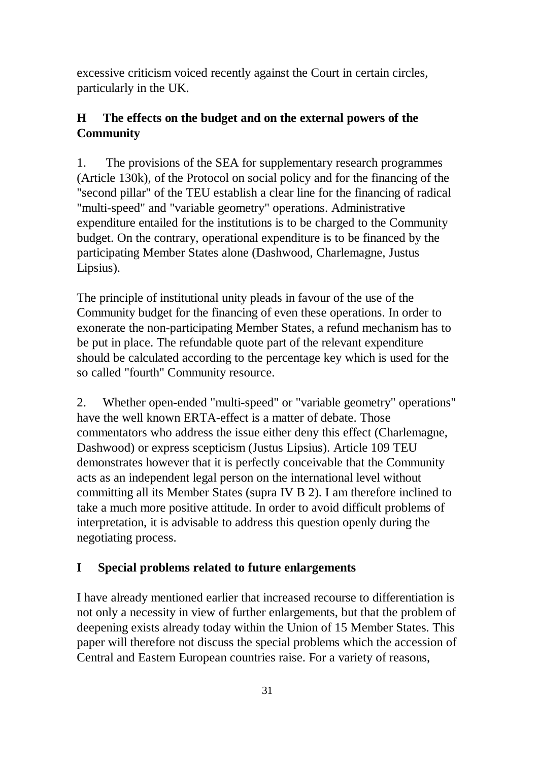excessive criticism voiced recently against the Court in certain circles, particularly in the UK.

# **H The effects on the budget and on the external powers of the Community**

1. The provisions of the SEA for supplementary research programmes (Article 130k), of the Protocol on social policy and for the financing of the "second pillar" of the TEU establish a clear line for the financing of radical "multi-speed" and "variable geometry" operations. Administrative expenditure entailed for the institutions is to be charged to the Community budget. On the contrary, operational expenditure is to be financed by the participating Member States alone (Dashwood, Charlemagne, Justus Lipsius).

The principle of institutional unity pleads in favour of the use of the Community budget for the financing of even these operations. In order to exonerate the non-participating Member States, a refund mechanism has to be put in place. The refundable quote part of the relevant expenditure should be calculated according to the percentage key which is used for the so called "fourth" Community resource.

2. Whether open-ended "multi-speed" or "variable geometry" operations" have the well known ERTA-effect is a matter of debate. Those commentators who address the issue either deny this effect (Charlemagne, Dashwood) or express scepticism (Justus Lipsius). Article 109 TEU demonstrates however that it is perfectly conceivable that the Community acts as an independent legal person on the international level without committing all its Member States (supra IV B 2). I am therefore inclined to take a much more positive attitude. In order to avoid difficult problems of interpretation, it is advisable to address this question openly during the negotiating process.

# **I Special problems related to future enlargements**

I have already mentioned earlier that increased recourse to differentiation is not only a necessity in view of further enlargements, but that the problem of deepening exists already today within the Union of 15 Member States. This paper will therefore not discuss the special problems which the accession of Central and Eastern European countries raise. For a variety of reasons,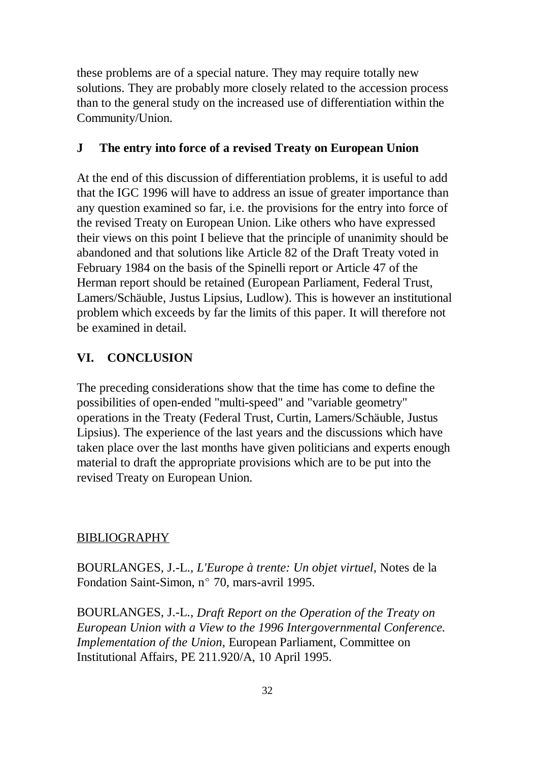these problems are of a special nature. They may require totally new solutions. They are probably more closely related to the accession process than to the general study on the increased use of differentiation within the Community/Union.

### **J The entry into force of a revised Treaty on European Union**

At the end of this discussion of differentiation problems, it is useful to add that the IGC 1996 will have to address an issue of greater importance than any question examined so far, i.e. the provisions for the entry into force of the revised Treaty on European Union. Like others who have expressed their views on this point I believe that the principle of unanimity should be abandoned and that solutions like Article 82 of the Draft Treaty voted in February 1984 on the basis of the Spinelli report or Article 47 of the Herman report should be retained (European Parliament, Federal Trust, Lamers/Schäuble, Justus Lipsius, Ludlow). This is however an institutional problem which exceeds by far the limits of this paper. It will therefore not be examined in detail.

# **VI. CONCLUSION**

The preceding considerations show that the time has come to define the possibilities of open-ended "multi-speed" and "variable geometry" operations in the Treaty (Federal Trust, Curtin, Lamers/Schäuble, Justus Lipsius). The experience of the last years and the discussions which have taken place over the last months have given politicians and experts enough material to draft the appropriate provisions which are to be put into the revised Treaty on European Union.

### BIBLIOGRAPHY

BOURLANGES, J.-L., *L'Europe à trente: Un objet virtuel*, Notes de la Fondation Saint-Simon, n° 70, mars-avril 1995.

BOURLANGES, J.-L., *Draft Report on the Operation of the Treaty on European Union with a View to the 1996 Intergovernmental Conference. Implementation of the Union*, European Parliament, Committee on Institutional Affairs, PE 211.920/A, 10 April 1995.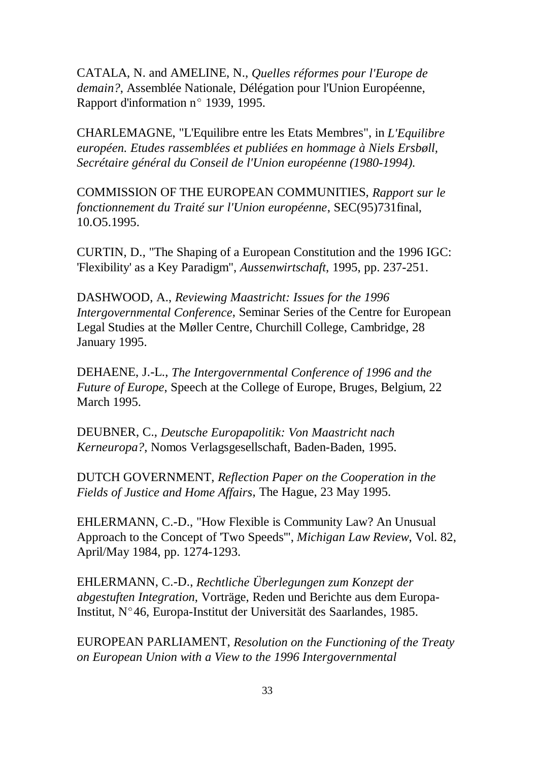CATALA, N. and AMELINE, N., *Quelles réformes pour l'Europe de demain?*, Assemblée Nationale, Délégation pour l'Union Européenne, Rapport d'information n° 1939, 1995.

CHARLEMAGNE, "L'Equilibre entre les Etats Membres", in *L'Equilibre européen. Etudes rassemblées et publiées en hommage à Niels Ersbøll, Secrétaire général du Conseil de l'Union européenne (1980-1994).* 

COMMISSION OF THE EUROPEAN COMMUNITIES, *Rapport sur le fonctionnement du Traité sur l'Union européenne*, SEC(95)731final, 10.O5.1995.

CURTIN, D., "The Shaping of a European Constitution and the 1996 IGC: 'Flexibility' as a Key Paradigm", *Aussenwirtschaft*, 1995, pp. 237-251.

DASHWOOD, A., *Reviewing Maastricht: Issues for the 1996 Intergovernmental Conference*, Seminar Series of the Centre for European Legal Studies at the Møller Centre, Churchill College, Cambridge, 28 January 1995.

DEHAENE, J.-L., *The Intergovernmental Conference of 1996 and the Future of Europe*, Speech at the College of Europe, Bruges, Belgium, 22 March 1995.

DEUBNER, C., *Deutsche Europapolitik: Von Maastricht nach Kerneuropa?*, Nomos Verlagsgesellschaft, Baden-Baden, 1995.

DUTCH GOVERNMENT, *Reflection Paper on the Cooperation in the Fields of Justice and Home Affairs*, The Hague, 23 May 1995.

EHLERMANN, C.-D., "How Flexible is Community Law? An Unusual Approach to the Concept of 'Two Speeds'", *Michigan Law Review*, Vol. 82, April/May 1984, pp. 1274-1293.

EHLERMANN, C.-D., *Rechtliche Überlegungen zum Konzept der abgestuften Integration*, Vorträge, Reden und Berichte aus dem Europa-ETTEENWANN, C.-D., *Rechtiche Obertegungen zum Konzept der*<br>*abgestuften Integration*, Vorträge, Reden und Berichte aus dem Eur<br>Institut, N°46, Europa-Institut der Universität des Saarlandes, 1985.

EUROPEAN PARLIAMENT, *Resolution on the Functioning of the Treaty on European Union with a View to the 1996 Intergovernmental*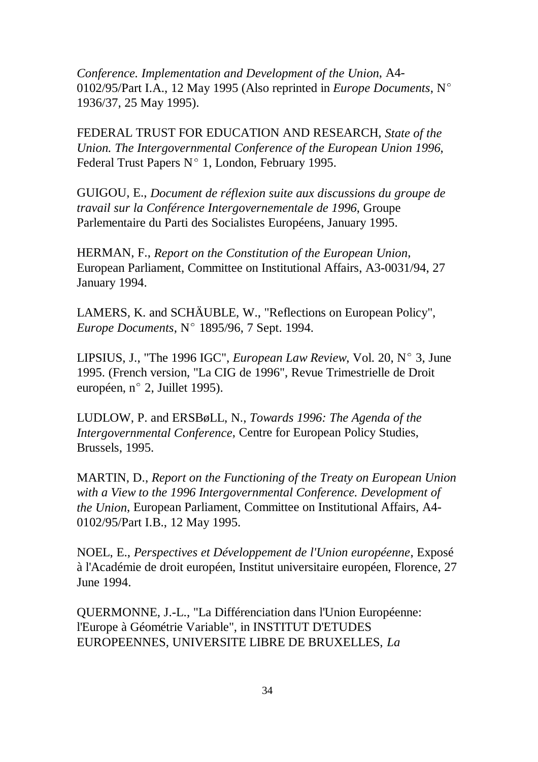*Conference. Implementation and Development of the Union*, A4- 0102/95/Part I.A., 12 May 1995 (Also reprinted in *Europe Documents*, N( 1936/37, 25 May 1995).

FEDERAL TRUST FOR EDUCATION AND RESEARCH, *State of the Union. The Intergovernmental Conference of the European Union 1996*, Federal Trust Papers  $N^{\circ}$  1, London, February 1995.

GUIGOU, E., *Document de réflexion suite aux discussions du groupe de travail sur la Conférence Intergovernementale de 1996*, Groupe Parlementaire du Parti des Socialistes Européens, January 1995.

HERMAN, F., *Report on the Constitution of the European Union*, European Parliament, Committee on Institutional Affairs, A3-0031/94, 27 January 1994.

LAMERS, K. and SCHÄUBLE, W., "Reflections on European Policy", *Europe Documents*, N° 1895/96, 7 Sept. 1994.

LIPSIUS, J., "The 1996 IGC", *European Law Review*, Vol. 20, N° 3, June 1995. (French version, "La CIG de 1996", Revue Trimestrielle de Droit en 5105, J., The 1990 RCC<br>1995. (French version, "La C<br>européen, n° 2, Juillet 1995).

LUDLOW, P. and ERSBøLL, N., *Towards 1996: The Agenda of the Intergovernmental Conference*, Centre for European Policy Studies, Brussels, 1995.

MARTIN, D., *Report on the Functioning of the Treaty on European Union with a View to the 1996 Intergovernmental Conference. Development of the Union*, European Parliament, Committee on Institutional Affairs, A4- 0102/95/Part I.B., 12 May 1995.

NOEL, E., *Perspectives et Développement de l'Union européenne*, Exposé à l'Académie de droit européen, Institut universitaire européen, Florence, 27 June 1994.

QUERMONNE, J.-L., "La Différenciation dans l'Union Européenne: l'Europe à Géométrie Variable", in INSTITUT D'ETUDES EUROPEENNES, UNIVERSITE LIBRE DE BRUXELLES, *La*